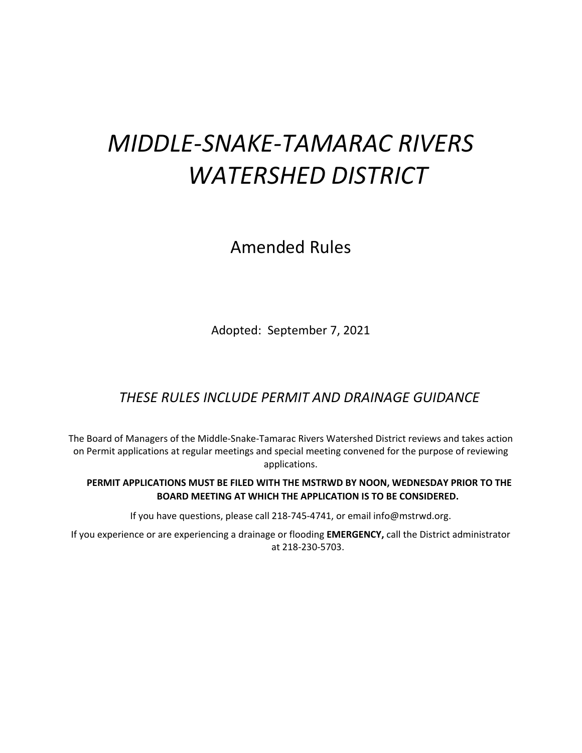# *MIDDLE‐SNAKE‐TAMARAC RIVERS WATERSHED DISTRICT*

Amended Rules

Adopted: September 7, 2021

### *THESE RULES INCLUDE PERMIT AND DRAINAGE GUIDANCE*

The Board of Managers of the Middle‐Snake‐Tamarac Rivers Watershed District reviews and takes action on Permit applications at regular meetings and special meeting convened for the purpose of reviewing applications.

**PERMIT APPLICATIONS MUST BE FILED WITH THE MSTRWD BY NOON, WEDNESDAY PRIOR TO THE BOARD MEETING AT WHICH THE APPLICATION IS TO BE CONSIDERED.**

If you have questions, please call 218-745-4741, or email info@mstrwd.org.

If you experience or are experiencing a drainage or flooding **EMERGENCY,** call the District administrator at 218‐230‐5703.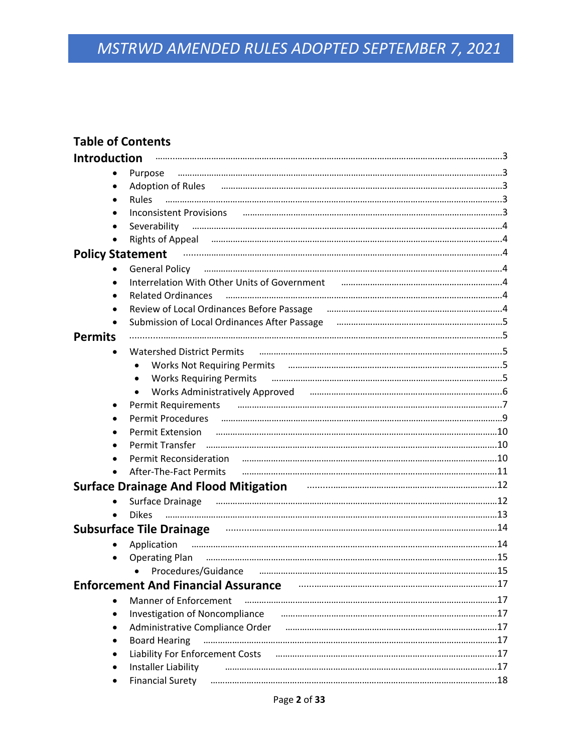### **Table of Contents**

| <b>Introduction</b>                                                                                                                                                                                                            |  |
|--------------------------------------------------------------------------------------------------------------------------------------------------------------------------------------------------------------------------------|--|
| Purpose                                                                                                                                                                                                                        |  |
| Adoption of Rules <b>continuum contract and continuum contract a</b> 3                                                                                                                                                         |  |
| <b>Rules</b>                                                                                                                                                                                                                   |  |
| <b>Inconsistent Provisions</b>                                                                                                                                                                                                 |  |
|                                                                                                                                                                                                                                |  |
| Rights of Appeal manufactured and according to Appeal and Appeal manufactured and according to the Rights of Appeal                                                                                                            |  |
| <b>Policy Statement</b>                                                                                                                                                                                                        |  |
| General Policy <b>manual continuum contract and continuum contract a</b> 4                                                                                                                                                     |  |
| Interrelation With Other Units of Government Factor (2008) 2014 12:30:44                                                                                                                                                       |  |
| $\bullet$                                                                                                                                                                                                                      |  |
| Review of Local Ordinances Before Passage (2001) Manuscrittism and Article of Local Ordinances Before Passage                                                                                                                  |  |
| Submission of Local Ordinances After Passage manufacture and contain an anti-<br>$\bullet$                                                                                                                                     |  |
| <b>Permits</b>                                                                                                                                                                                                                 |  |
| <b>Watershed District Permits</b>                                                                                                                                                                                              |  |
| Works Not Requiring Permits (2000) 2000 million and the Works Not Requiring Permits (2000) and the million and the Works Not Requiring Permits (2000) and the Marian and Maria Maria Maria Maria Maria Maria Maria Maria Maria |  |
| Works Requiring Permits <b>manufacture and contract the Contract Contract Contract Contract Contract Contract Control</b>                                                                                                      |  |
| Works Administratively Approved Farming Communication and Communication of<br>$\bullet$                                                                                                                                        |  |
| Permit Requirements и политической получи с тем и политической политической политической политической политиче                                                                                                                 |  |
|                                                                                                                                                                                                                                |  |
|                                                                                                                                                                                                                                |  |
|                                                                                                                                                                                                                                |  |
| Permit Reconsideration manufactured and the constraint resource of the consideration of the consideration of the constant of the constant of the constant of the constant of the constant of the constant of the constant of t |  |
| After-The-Fact Permits<br>$\bullet$                                                                                                                                                                                            |  |
| Surface Drainage And Flood Mitigation <b>contract to the Carolina Contract Praining</b> 12                                                                                                                                     |  |
| Surface Drainage и политический пользов по подделжи по подделении по подделении по подделжи по подделжи по по                                                                                                                  |  |
| <b>Dikes</b>                                                                                                                                                                                                                   |  |
| Subsurface Tile Drainage <b>contract to the Caracter Contract of the Caracter</b> 14                                                                                                                                           |  |
| Application                                                                                                                                                                                                                    |  |
| <b>Operating Plan</b>                                                                                                                                                                                                          |  |
|                                                                                                                                                                                                                                |  |
| <b>Enforcement And Financial Assurance</b>                                                                                                                                                                                     |  |
| <b>Manner of Enforcement</b>                                                                                                                                                                                                   |  |
| Investigation of Noncompliance<br>٠                                                                                                                                                                                            |  |
| Administrative Compliance Order<br>$\bullet$                                                                                                                                                                                   |  |
| <b>Board Hearing</b>                                                                                                                                                                                                           |  |
| $\bullet$                                                                                                                                                                                                                      |  |
| Installer Liability<br>$\bullet$                                                                                                                                                                                               |  |
| <b>Financial Surety</b>                                                                                                                                                                                                        |  |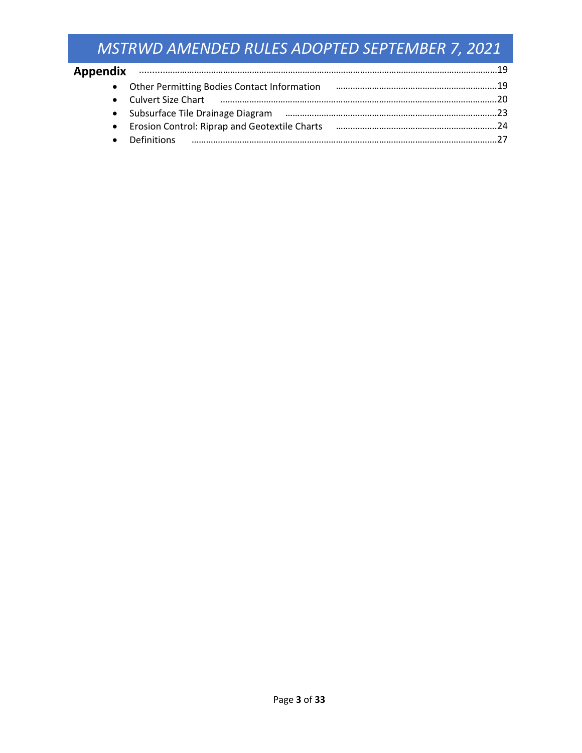| Appendix 29.000 million and the contract of the contract of the contract of the contract of the contract of the contract of the contract of the contract of the contract of the contract of the contract of the contract of th      |  |
|-------------------------------------------------------------------------------------------------------------------------------------------------------------------------------------------------------------------------------------|--|
| • Other Permitting Bodies Contact Information <b>manufacture of the Contact Information</b> and the Context of Terminian and Terminian and Terminian and Terminian and Terminian and Terminian and Terminian and Terminian and Term |  |
| • Culvert Size Chart и происходим по не для не для не для не для не для не для не для не для не для не для не д                                                                                                                     |  |
| • Subsurface Tile Drainage Diagram (11) (1998) (1998) 323                                                                                                                                                                           |  |
|                                                                                                                                                                                                                                     |  |
|                                                                                                                                                                                                                                     |  |
|                                                                                                                                                                                                                                     |  |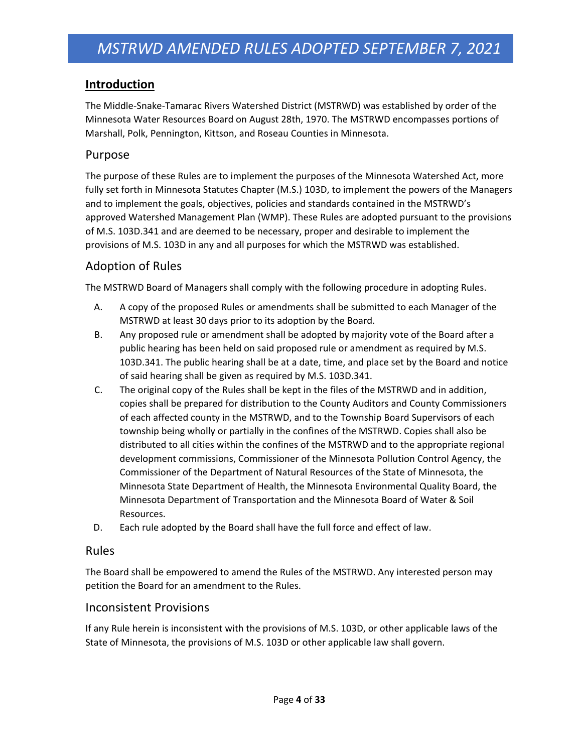#### **Introduction**

The Middle‐Snake‐Tamarac Rivers Watershed District (MSTRWD) was established by order of the Minnesota Water Resources Board on August 28th, 1970. The MSTRWD encompasses portions of Marshall, Polk, Pennington, Kittson, and Roseau Counties in Minnesota.

#### Purpose

The purpose of these Rules are to implement the purposes of the Minnesota Watershed Act, more fully set forth in Minnesota Statutes Chapter (M.S.) 103D, to implement the powers of the Managers and to implement the goals, objectives, policies and standards contained in the MSTRWD's approved Watershed Management Plan (WMP). These Rules are adopted pursuant to the provisions of M.S. 103D.341 and are deemed to be necessary, proper and desirable to implement the provisions of M.S. 103D in any and all purposes for which the MSTRWD was established.

#### Adoption of Rules

The MSTRWD Board of Managers shall comply with the following procedure in adopting Rules.

- A. A copy of the proposed Rules or amendments shall be submitted to each Manager of the MSTRWD at least 30 days prior to its adoption by the Board.
- B. Any proposed rule or amendment shall be adopted by majority vote of the Board after a public hearing has been held on said proposed rule or amendment as required by M.S. 103D.341. The public hearing shall be at a date, time, and place set by the Board and notice of said hearing shall be given as required by M.S. 103D.341.
- C. The original copy of the Rules shall be kept in the files of the MSTRWD and in addition, copies shall be prepared for distribution to the County Auditors and County Commissioners of each affected county in the MSTRWD, and to the Township Board Supervisors of each township being wholly or partially in the confines of the MSTRWD. Copies shall also be distributed to all cities within the confines of the MSTRWD and to the appropriate regional development commissions, Commissioner of the Minnesota Pollution Control Agency, the Commissioner of the Department of Natural Resources of the State of Minnesota, the Minnesota State Department of Health, the Minnesota Environmental Quality Board, the Minnesota Department of Transportation and the Minnesota Board of Water & Soil Resources.
- D. Each rule adopted by the Board shall have the full force and effect of law.

#### Rules

The Board shall be empowered to amend the Rules of the MSTRWD. Any interested person may petition the Board for an amendment to the Rules.

#### Inconsistent Provisions

If any Rule herein is inconsistent with the provisions of M.S. 103D, or other applicable laws of the State of Minnesota, the provisions of M.S. 103D or other applicable law shall govern.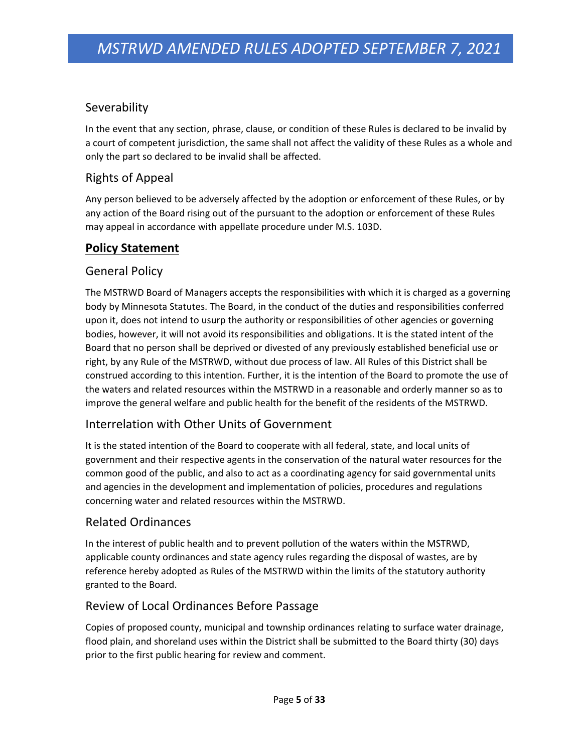### Severability

In the event that any section, phrase, clause, or condition of these Rules is declared to be invalid by a court of competent jurisdiction, the same shall not affect the validity of these Rules as a whole and only the part so declared to be invalid shall be affected.

### Rights of Appeal

Any person believed to be adversely affected by the adoption or enforcement of these Rules, or by any action of the Board rising out of the pursuant to the adoption or enforcement of these Rules may appeal in accordance with appellate procedure under M.S. 103D.

### **Policy Statement**

### General Policy

The MSTRWD Board of Managers accepts the responsibilities with which it is charged as a governing body by Minnesota Statutes. The Board, in the conduct of the duties and responsibilities conferred upon it, does not intend to usurp the authority or responsibilities of other agencies or governing bodies, however, it will not avoid its responsibilities and obligations. It is the stated intent of the Board that no person shall be deprived or divested of any previously established beneficial use or right, by any Rule of the MSTRWD, without due process of law. All Rules of this District shall be construed according to this intention. Further, it is the intention of the Board to promote the use of the waters and related resources within the MSTRWD in a reasonable and orderly manner so as to improve the general welfare and public health for the benefit of the residents of the MSTRWD.

### Interrelation with Other Units of Government

It is the stated intention of the Board to cooperate with all federal, state, and local units of government and their respective agents in the conservation of the natural water resources for the common good of the public, and also to act as a coordinating agency for said governmental units and agencies in the development and implementation of policies, procedures and regulations concerning water and related resources within the MSTRWD.

### Related Ordinances

In the interest of public health and to prevent pollution of the waters within the MSTRWD, applicable county ordinances and state agency rules regarding the disposal of wastes, are by reference hereby adopted as Rules of the MSTRWD within the limits of the statutory authority granted to the Board.

### Review of Local Ordinances Before Passage

Copies of proposed county, municipal and township ordinances relating to surface water drainage, flood plain, and shoreland uses within the District shall be submitted to the Board thirty (30) days prior to the first public hearing for review and comment.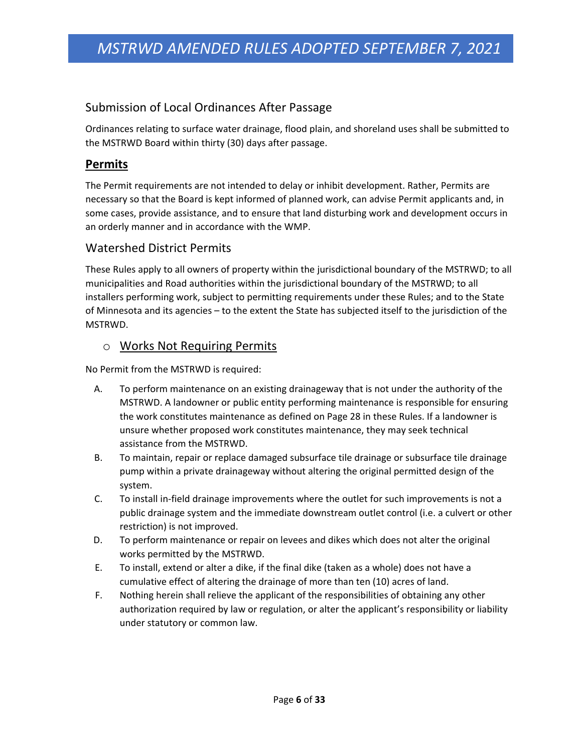#### Submission of Local Ordinances After Passage

Ordinances relating to surface water drainage, flood plain, and shoreland uses shall be submitted to the MSTRWD Board within thirty (30) days after passage.

### **Permits**

The Permit requirements are not intended to delay or inhibit development. Rather, Permits are necessary so that the Board is kept informed of planned work, can advise Permit applicants and, in some cases, provide assistance, and to ensure that land disturbing work and development occurs in an orderly manner and in accordance with the WMP.

#### Watershed District Permits

These Rules apply to all owners of property within the jurisdictional boundary of the MSTRWD; to all municipalities and Road authorities within the jurisdictional boundary of the MSTRWD; to all installers performing work, subject to permitting requirements under these Rules; and to the State of Minnesota and its agencies – to the extent the State has subjected itself to the jurisdiction of the MSTRWD.

#### o Works Not Requiring Permits

No Permit from the MSTRWD is required:

- A. To perform maintenance on an existing drainageway that is not under the authority of the MSTRWD. A landowner or public entity performing maintenance is responsible for ensuring the work constitutes maintenance as defined on Page 28 in these Rules. If a landowner is unsure whether proposed work constitutes maintenance, they may seek technical assistance from the MSTRWD.
- B. To maintain, repair or replace damaged subsurface tile drainage or subsurface tile drainage pump within a private drainageway without altering the original permitted design of the system.
- C. To install in‐field drainage improvements where the outlet for such improvements is not a public drainage system and the immediate downstream outlet control (i.e. a culvert or other restriction) is not improved.
- D. To perform maintenance or repair on levees and dikes which does not alter the original works permitted by the MSTRWD.
- E. To install, extend or alter a dike, if the final dike (taken as a whole) does not have a cumulative effect of altering the drainage of more than ten (10) acres of land.
- F. Nothing herein shall relieve the applicant of the responsibilities of obtaining any other authorization required by law or regulation, or alter the applicant's responsibility or liability under statutory or common law.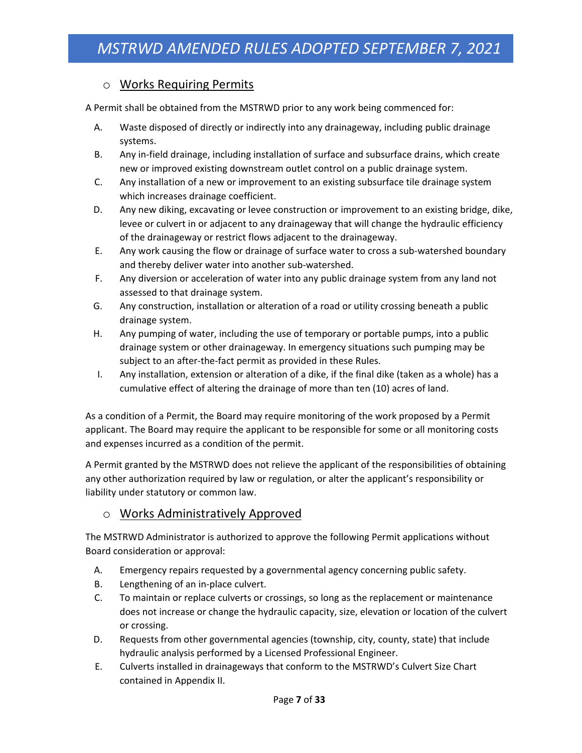#### o Works Requiring Permits

A Permit shall be obtained from the MSTRWD prior to any work being commenced for:

- A. Waste disposed of directly or indirectly into any drainageway, including public drainage systems.
- B. Any in‐field drainage, including installation of surface and subsurface drains, which create new or improved existing downstream outlet control on a public drainage system.
- C. Any installation of a new or improvement to an existing subsurface tile drainage system which increases drainage coefficient.
- D. Any new diking, excavating or levee construction or improvement to an existing bridge, dike, levee or culvert in or adjacent to any drainageway that will change the hydraulic efficiency of the drainageway or restrict flows adjacent to the drainageway.
- E. Any work causing the flow or drainage of surface water to cross a sub-watershed boundary and thereby deliver water into another sub‐watershed.
- F. Any diversion or acceleration of water into any public drainage system from any land not assessed to that drainage system.
- G. Any construction, installation or alteration of a road or utility crossing beneath a public drainage system.
- H. Any pumping of water, including the use of temporary or portable pumps, into a public drainage system or other drainageway. In emergency situations such pumping may be subject to an after-the-fact permit as provided in these Rules.
- I. Any installation, extension or alteration of a dike, if the final dike (taken as a whole) has a cumulative effect of altering the drainage of more than ten (10) acres of land.

As a condition of a Permit, the Board may require monitoring of the work proposed by a Permit applicant. The Board may require the applicant to be responsible for some or all monitoring costs and expenses incurred as a condition of the permit.

A Permit granted by the MSTRWD does not relieve the applicant of the responsibilities of obtaining any other authorization required by law or regulation, or alter the applicant's responsibility or liability under statutory or common law.

#### o Works Administratively Approved

The MSTRWD Administrator is authorized to approve the following Permit applications without Board consideration or approval:

- A. Emergency repairs requested by a governmental agency concerning public safety.
- B. Lengthening of an in‐place culvert.
- C. To maintain or replace culverts or crossings, so long as the replacement or maintenance does not increase or change the hydraulic capacity, size, elevation or location of the culvert or crossing.
- D. Requests from other governmental agencies (township, city, county, state) that include hydraulic analysis performed by a Licensed Professional Engineer.
- E. Culverts installed in drainageways that conform to the MSTRWD's Culvert Size Chart contained in Appendix II.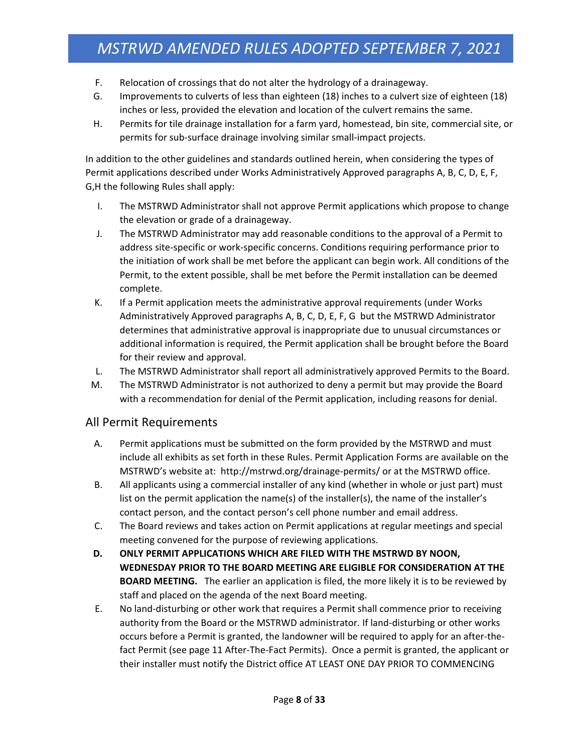- F. Relocation of crossings that do not alter the hydrology of a drainageway.
- G. Improvements to culverts of less than eighteen (18) inches to a culvert size of eighteen (18) inches or less, provided the elevation and location of the culvert remains the same.
- H. Permits for tile drainage installation for a farm yard, homestead, bin site, commercial site, or permits for sub‐surface drainage involving similar small‐impact projects.

In addition to the other guidelines and standards outlined herein, when considering the types of Permit applications described under Works Administratively Approved paragraphs A, B, C, D, E, F, G,H the following Rules shall apply:

- I. The MSTRWD Administrator shall not approve Permit applications which propose to change the elevation or grade of a drainageway.
- J. The MSTRWD Administrator may add reasonable conditions to the approval of a Permit to address site‐specific or work‐specific concerns. Conditions requiring performance prior to the initiation of work shall be met before the applicant can begin work. All conditions of the Permit, to the extent possible, shall be met before the Permit installation can be deemed complete.
- K. If a Permit application meets the administrative approval requirements (under Works Administratively Approved paragraphs A, B, C, D, E, F, G but the MSTRWD Administrator determines that administrative approval is inappropriate due to unusual circumstances or additional information is required, the Permit application shall be brought before the Board for their review and approval.
- L. The MSTRWD Administrator shall report all administratively approved Permits to the Board.
- M. The MSTRWD Administrator is not authorized to deny a permit but may provide the Board with a recommendation for denial of the Permit application, including reasons for denial.

#### All Permit Requirements

- A. Permit applications must be submitted on the form provided by the MSTRWD and must include all exhibits as set forth in these Rules. Permit Application Forms are available on the MSTRWD's website at: http://mstrwd.org/drainage‐permits/ or at the MSTRWD office.
- B. All applicants using a commercial installer of any kind (whether in whole or just part) must list on the permit application the name(s) of the installer(s), the name of the installer's contact person, and the contact person's cell phone number and email address.
- C. The Board reviews and takes action on Permit applications at regular meetings and special meeting convened for the purpose of reviewing applications.
- **D. ONLY PERMIT APPLICATIONS WHICH ARE FILED WITH THE MSTRWD BY NOON, WEDNESDAY PRIOR TO THE BOARD MEETING ARE ELIGIBLE FOR CONSIDERATION AT THE BOARD MEETING.**  The earlier an application is filed, the more likely it is to be reviewed by staff and placed on the agenda of the next Board meeting.
- E. No land‐disturbing or other work that requires a Permit shall commence prior to receiving authority from the Board or the MSTRWD administrator. If land‐disturbing or other works occurs before a Permit is granted, the landowner will be required to apply for an after-thefact Permit (see page 11 After-The-Fact Permits). Once a permit is granted, the applicant or their installer must notify the District office AT LEAST ONE DAY PRIOR TO COMMENCING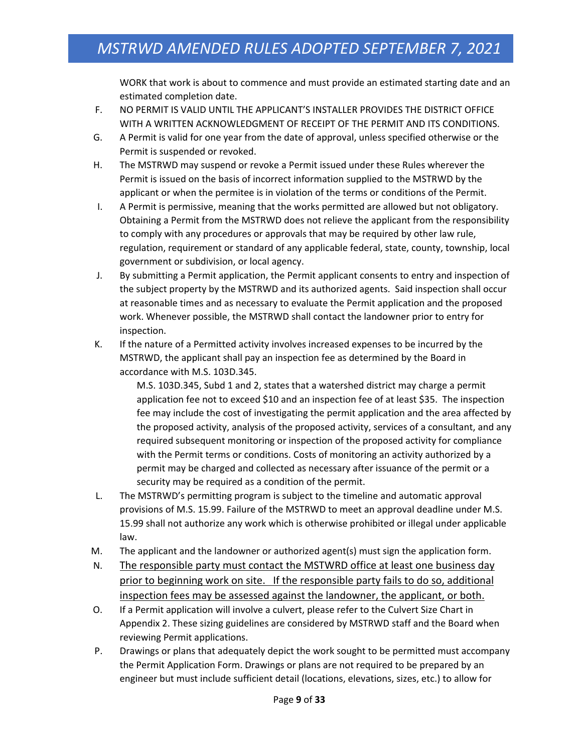WORK that work is about to commence and must provide an estimated starting date and an estimated completion date.

- F. NO PERMIT IS VALID UNTIL THE APPLICANT'S INSTALLER PROVIDES THE DISTRICT OFFICE WITH A WRITTEN ACKNOWLEDGMENT OF RECEIPT OF THE PERMIT AND ITS CONDITIONS.
- G. A Permit is valid for one year from the date of approval, unless specified otherwise or the Permit is suspended or revoked.
- H. The MSTRWD may suspend or revoke a Permit issued under these Rules wherever the Permit is issued on the basis of incorrect information supplied to the MSTRWD by the applicant or when the permitee is in violation of the terms or conditions of the Permit.
- I. A Permit is permissive, meaning that the works permitted are allowed but not obligatory. Obtaining a Permit from the MSTRWD does not relieve the applicant from the responsibility to comply with any procedures or approvals that may be required by other law rule, regulation, requirement or standard of any applicable federal, state, county, township, local government or subdivision, or local agency.
- J. By submitting a Permit application, the Permit applicant consents to entry and inspection of the subject property by the MSTRWD and its authorized agents. Said inspection shall occur at reasonable times and as necessary to evaluate the Permit application and the proposed work. Whenever possible, the MSTRWD shall contact the landowner prior to entry for inspection.
- K. If the nature of a Permitted activity involves increased expenses to be incurred by the MSTRWD, the applicant shall pay an inspection fee as determined by the Board in accordance with M.S. 103D.345.

M.S. 103D.345, Subd 1 and 2, states that a watershed district may charge a permit application fee not to exceed \$10 and an inspection fee of at least \$35. The inspection fee may include the cost of investigating the permit application and the area affected by the proposed activity, analysis of the proposed activity, services of a consultant, and any required subsequent monitoring or inspection of the proposed activity for compliance with the Permit terms or conditions. Costs of monitoring an activity authorized by a permit may be charged and collected as necessary after issuance of the permit or a security may be required as a condition of the permit.

- L. The MSTRWD's permitting program is subject to the timeline and automatic approval provisions of M.S. 15.99. Failure of the MSTRWD to meet an approval deadline under M.S. 15.99 shall not authorize any work which is otherwise prohibited or illegal under applicable law.
- M. The applicant and the landowner or authorized agent(s) must sign the application form.
- N. The responsible party must contact the MSTWRD office at least one business day prior to beginning work on site. If the responsible party fails to do so, additional inspection fees may be assessed against the landowner, the applicant, or both.
- O. If a Permit application will involve a culvert, please refer to the Culvert Size Chart in Appendix 2. These sizing guidelines are considered by MSTRWD staff and the Board when reviewing Permit applications.
- P. Drawings or plans that adequately depict the work sought to be permitted must accompany the Permit Application Form. Drawings or plans are not required to be prepared by an engineer but must include sufficient detail (locations, elevations, sizes, etc.) to allow for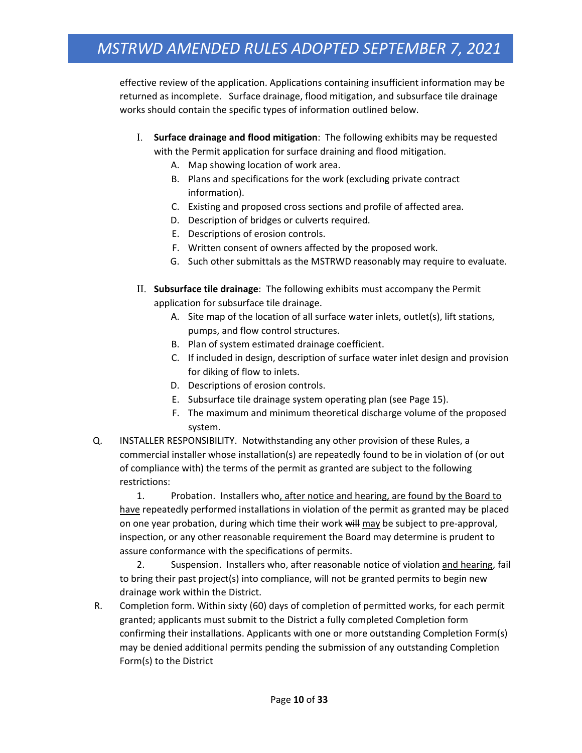effective review of the application. Applications containing insufficient information may be returned as incomplete. Surface drainage, flood mitigation, and subsurface tile drainage works should contain the specific types of information outlined below.

- I. **Surface drainage and flood mitigation**: The following exhibits may be requested with the Permit application for surface draining and flood mitigation.
	- A. Map showing location of work area.
	- B. Plans and specifications for the work (excluding private contract information).
	- C. Existing and proposed cross sections and profile of affected area.
	- D. Description of bridges or culverts required.
	- E. Descriptions of erosion controls.
	- F. Written consent of owners affected by the proposed work.
	- G. Such other submittals as the MSTRWD reasonably may require to evaluate.
- II. **Subsurface tile drainage**: The following exhibits must accompany the Permit application for subsurface tile drainage.
	- A. Site map of the location of all surface water inlets, outlet(s), lift stations, pumps, and flow control structures.
	- B. Plan of system estimated drainage coefficient.
	- C. If included in design, description of surface water inlet design and provision for diking of flow to inlets.
	- D. Descriptions of erosion controls.
	- E. Subsurface tile drainage system operating plan (see Page 15).
	- F. The maximum and minimum theoretical discharge volume of the proposed system.
- Q. INSTALLER RESPONSIBILITY. Notwithstanding any other provision of these Rules, a commercial installer whose installation(s) are repeatedly found to be in violation of (or out of compliance with) the terms of the permit as granted are subject to the following restrictions:

1. Probation. Installers who, after notice and hearing, are found by the Board to have repeatedly performed installations in violation of the permit as granted may be placed on one year probation, during which time their work will may be subject to pre-approval, inspection, or any other reasonable requirement the Board may determine is prudent to assure conformance with the specifications of permits.

2. Suspension. Installers who, after reasonable notice of violation and hearing, fail to bring their past project(s) into compliance, will not be granted permits to begin new drainage work within the District.

R. Completion form. Within sixty (60) days of completion of permitted works, for each permit granted; applicants must submit to the District a fully completed Completion form confirming their installations. Applicants with one or more outstanding Completion Form(s) may be denied additional permits pending the submission of any outstanding Completion Form(s) to the District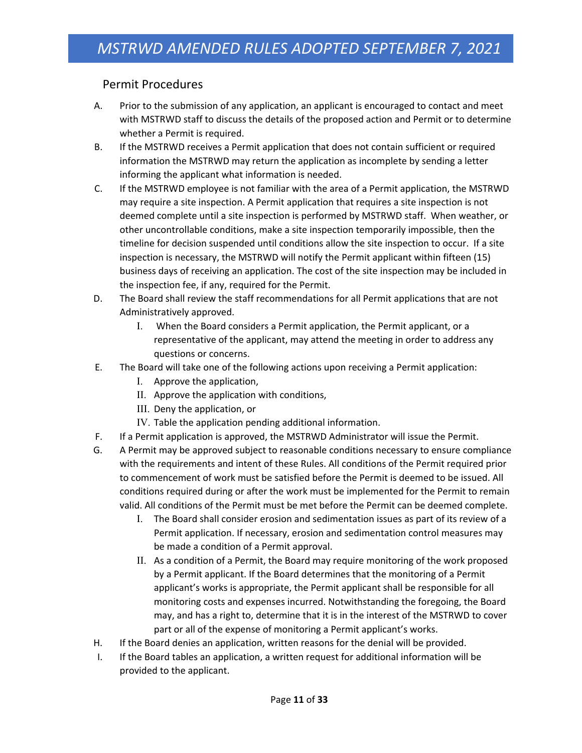#### Permit Procedures

- A. Prior to the submission of any application, an applicant is encouraged to contact and meet with MSTRWD staff to discuss the details of the proposed action and Permit or to determine whether a Permit is required.
- B. If the MSTRWD receives a Permit application that does not contain sufficient or required information the MSTRWD may return the application as incomplete by sending a letter informing the applicant what information is needed.
- C. If the MSTRWD employee is not familiar with the area of a Permit application, the MSTRWD may require a site inspection. A Permit application that requires a site inspection is not deemed complete until a site inspection is performed by MSTRWD staff. When weather, or other uncontrollable conditions, make a site inspection temporarily impossible, then the timeline for decision suspended until conditions allow the site inspection to occur. If a site inspection is necessary, the MSTRWD will notify the Permit applicant within fifteen (15) business days of receiving an application. The cost of the site inspection may be included in the inspection fee, if any, required for the Permit.
- D. The Board shall review the staff recommendations for all Permit applications that are not Administratively approved.
	- I. When the Board considers a Permit application, the Permit applicant, or a representative of the applicant, may attend the meeting in order to address any questions or concerns.
- E. The Board will take one of the following actions upon receiving a Permit application:
	- I. Approve the application,
	- II. Approve the application with conditions,
	- III. Deny the application, or
	- IV. Table the application pending additional information.
- F. If a Permit application is approved, the MSTRWD Administrator will issue the Permit.
- G. A Permit may be approved subject to reasonable conditions necessary to ensure compliance with the requirements and intent of these Rules. All conditions of the Permit required prior to commencement of work must be satisfied before the Permit is deemed to be issued. All conditions required during or after the work must be implemented for the Permit to remain valid. All conditions of the Permit must be met before the Permit can be deemed complete.
	- I. The Board shall consider erosion and sedimentation issues as part of its review of a Permit application. If necessary, erosion and sedimentation control measures may be made a condition of a Permit approval.
	- II. As a condition of a Permit, the Board may require monitoring of the work proposed by a Permit applicant. If the Board determines that the monitoring of a Permit applicant's works is appropriate, the Permit applicant shall be responsible for all monitoring costs and expenses incurred. Notwithstanding the foregoing, the Board may, and has a right to, determine that it is in the interest of the MSTRWD to cover part or all of the expense of monitoring a Permit applicant's works.
- H. If the Board denies an application, written reasons for the denial will be provided.
- I. If the Board tables an application, a written request for additional information will be provided to the applicant.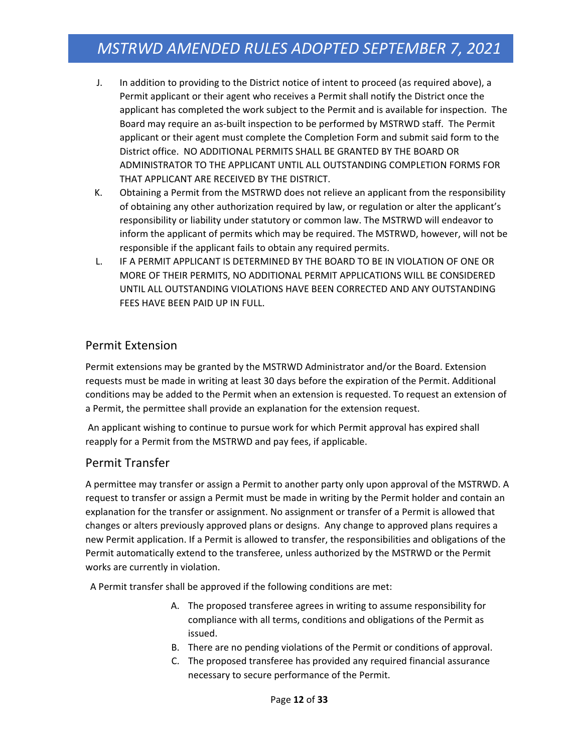- J. In addition to providing to the District notice of intent to proceed (as required above), a Permit applicant or their agent who receives a Permit shall notify the District once the applicant has completed the work subject to the Permit and is available for inspection. The Board may require an as‐built inspection to be performed by MSTRWD staff. The Permit applicant or their agent must complete the Completion Form and submit said form to the District office. NO ADDITIONAL PERMITS SHALL BE GRANTED BY THE BOARD OR ADMINISTRATOR TO THE APPLICANT UNTIL ALL OUTSTANDING COMPLETION FORMS FOR THAT APPLICANT ARE RECEIVED BY THE DISTRICT.
- K. Obtaining a Permit from the MSTRWD does not relieve an applicant from the responsibility of obtaining any other authorization required by law, or regulation or alter the applicant's responsibility or liability under statutory or common law. The MSTRWD will endeavor to inform the applicant of permits which may be required. The MSTRWD, however, will not be responsible if the applicant fails to obtain any required permits.
- L. IF A PERMIT APPLICANT IS DETERMINED BY THE BOARD TO BE IN VIOLATION OF ONE OR MORE OF THEIR PERMITS, NO ADDITIONAL PERMIT APPLICATIONS WILL BE CONSIDERED UNTIL ALL OUTSTANDING VIOLATIONS HAVE BEEN CORRECTED AND ANY OUTSTANDING FEES HAVE BEEN PAID UP IN FULL.

#### Permit Extension

Permit extensions may be granted by the MSTRWD Administrator and/or the Board. Extension requests must be made in writing at least 30 days before the expiration of the Permit. Additional conditions may be added to the Permit when an extension is requested. To request an extension of a Permit, the permittee shall provide an explanation for the extension request.

An applicant wishing to continue to pursue work for which Permit approval has expired shall reapply for a Permit from the MSTRWD and pay fees, if applicable.

#### Permit Transfer

A permittee may transfer or assign a Permit to another party only upon approval of the MSTRWD. A request to transfer or assign a Permit must be made in writing by the Permit holder and contain an explanation for the transfer or assignment. No assignment or transfer of a Permit is allowed that changes or alters previously approved plans or designs. Any change to approved plans requires a new Permit application. If a Permit is allowed to transfer, the responsibilities and obligations of the Permit automatically extend to the transferee, unless authorized by the MSTRWD or the Permit works are currently in violation.

A Permit transfer shall be approved if the following conditions are met:

- A. The proposed transferee agrees in writing to assume responsibility for compliance with all terms, conditions and obligations of the Permit as issued.
- B. There are no pending violations of the Permit or conditions of approval.
- C. The proposed transferee has provided any required financial assurance necessary to secure performance of the Permit.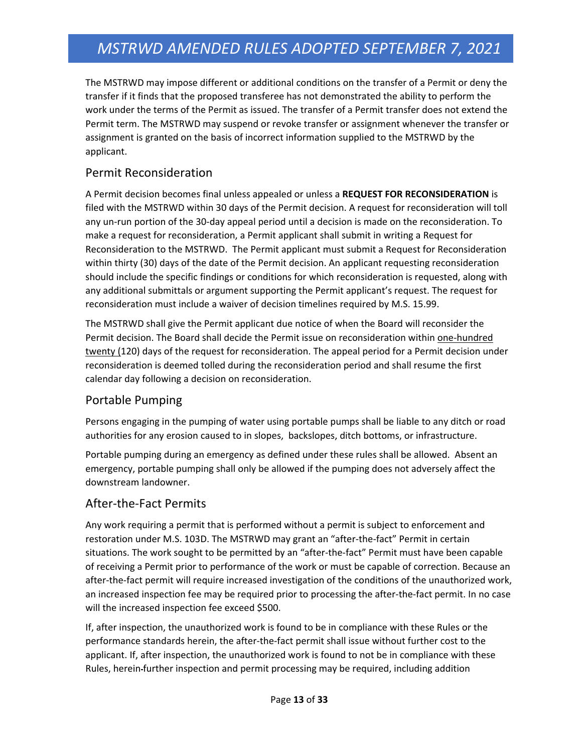The MSTRWD may impose different or additional conditions on the transfer of a Permit or deny the transfer if it finds that the proposed transferee has not demonstrated the ability to perform the work under the terms of the Permit as issued. The transfer of a Permit transfer does not extend the Permit term. The MSTRWD may suspend or revoke transfer or assignment whenever the transfer or assignment is granted on the basis of incorrect information supplied to the MSTRWD by the applicant.

### Permit Reconsideration

A Permit decision becomes final unless appealed or unless a **REQUEST FOR RECONSIDERATION** is filed with the MSTRWD within 30 days of the Permit decision. A request for reconsideration will toll any un-run portion of the 30-day appeal period until a decision is made on the reconsideration. To make a request for reconsideration, a Permit applicant shall submit in writing a Request for Reconsideration to the MSTRWD. The Permit applicant must submit a Request for Reconsideration within thirty (30) days of the date of the Permit decision. An applicant requesting reconsideration should include the specific findings or conditions for which reconsideration is requested, along with any additional submittals or argument supporting the Permit applicant's request. The request for reconsideration must include a waiver of decision timelines required by M.S. 15.99.

The MSTRWD shall give the Permit applicant due notice of when the Board will reconsider the Permit decision. The Board shall decide the Permit issue on reconsideration within one-hundred twenty (120) days of the request for reconsideration. The appeal period for a Permit decision under reconsideration is deemed tolled during the reconsideration period and shall resume the first calendar day following a decision on reconsideration.

#### Portable Pumping

Persons engaging in the pumping of water using portable pumps shall be liable to any ditch or road authorities for any erosion caused to in slopes, backslopes, ditch bottoms, or infrastructure.

Portable pumping during an emergency as defined under these rules shall be allowed. Absent an emergency, portable pumping shall only be allowed if the pumping does not adversely affect the downstream landowner.

#### After‐the‐Fact Permits

Any work requiring a permit that is performed without a permit is subject to enforcement and restoration under M.S. 103D. The MSTRWD may grant an "after-the-fact" Permit in certain situations. The work sought to be permitted by an "after‐the‐fact" Permit must have been capable of receiving a Permit prior to performance of the work or must be capable of correction. Because an after-the-fact permit will require increased investigation of the conditions of the unauthorized work, an increased inspection fee may be required prior to processing the after‐the‐fact permit. In no case will the increased inspection fee exceed \$500.

If, after inspection, the unauthorized work is found to be in compliance with these Rules or the performance standards herein, the after‐the‐fact permit shall issue without further cost to the applicant. If, after inspection, the unauthorized work is found to not be in compliance with these Rules, herein further inspection and permit processing may be required, including addition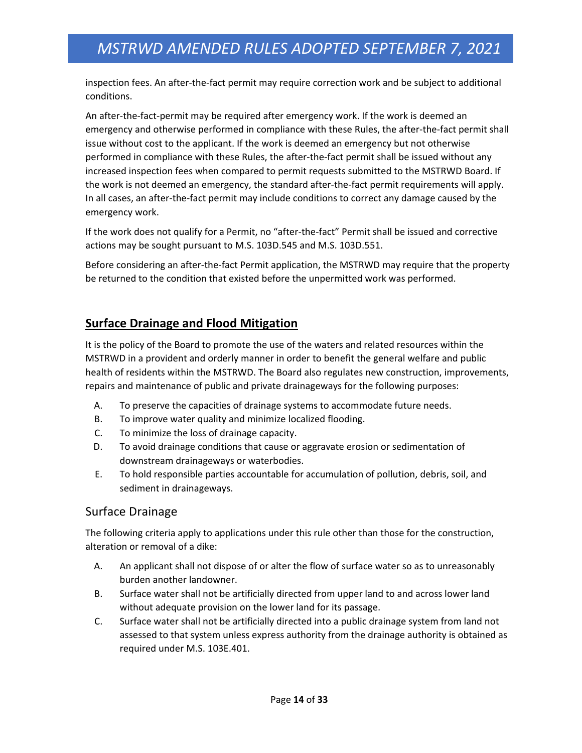inspection fees. An after‐the‐fact permit may require correction work and be subject to additional conditions.

An after‐the‐fact‐permit may be required after emergency work. If the work is deemed an emergency and otherwise performed in compliance with these Rules, the after‐the‐fact permit shall issue without cost to the applicant. If the work is deemed an emergency but not otherwise performed in compliance with these Rules, the after-the-fact permit shall be issued without any increased inspection fees when compared to permit requests submitted to the MSTRWD Board. If the work is not deemed an emergency, the standard after‐the‐fact permit requirements will apply. In all cases, an after‐the‐fact permit may include conditions to correct any damage caused by the emergency work.

If the work does not qualify for a Permit, no "after‐the‐fact" Permit shall be issued and corrective actions may be sought pursuant to M.S. 103D.545 and M.S. 103D.551.

Before considering an after‐the‐fact Permit application, the MSTRWD may require that the property be returned to the condition that existed before the unpermitted work was performed.

### **Surface Drainage and Flood Mitigation**

It is the policy of the Board to promote the use of the waters and related resources within the MSTRWD in a provident and orderly manner in order to benefit the general welfare and public health of residents within the MSTRWD. The Board also regulates new construction, improvements, repairs and maintenance of public and private drainageways for the following purposes:

- A. To preserve the capacities of drainage systems to accommodate future needs.
- B. To improve water quality and minimize localized flooding.
- C. To minimize the loss of drainage capacity.
- D. To avoid drainage conditions that cause or aggravate erosion or sedimentation of downstream drainageways or waterbodies.
- E. To hold responsible parties accountable for accumulation of pollution, debris, soil, and sediment in drainageways.

#### Surface Drainage

The following criteria apply to applications under this rule other than those for the construction, alteration or removal of a dike:

- A. An applicant shall not dispose of or alter the flow of surface water so as to unreasonably burden another landowner.
- B. Surface water shall not be artificially directed from upper land to and across lower land without adequate provision on the lower land for its passage.
- C. Surface water shall not be artificially directed into a public drainage system from land not assessed to that system unless express authority from the drainage authority is obtained as required under M.S. 103E.401.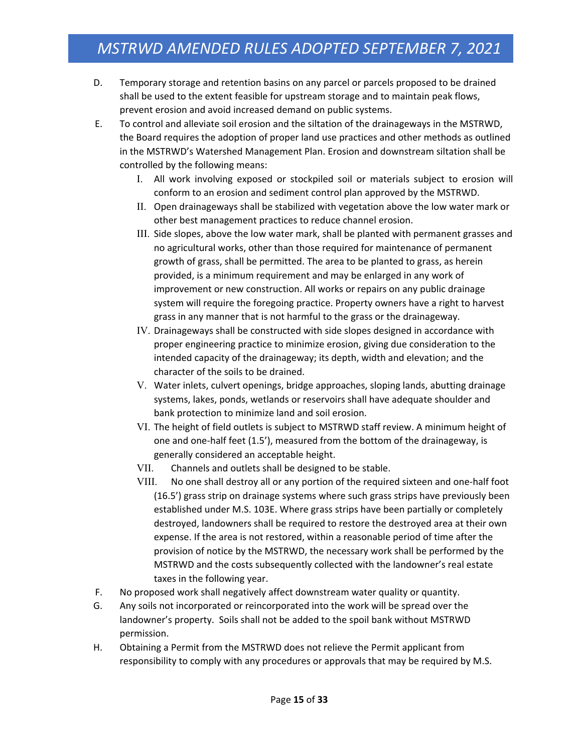- D. Temporary storage and retention basins on any parcel or parcels proposed to be drained shall be used to the extent feasible for upstream storage and to maintain peak flows, prevent erosion and avoid increased demand on public systems.
- E. To control and alleviate soil erosion and the siltation of the drainageways in the MSTRWD, the Board requires the adoption of proper land use practices and other methods as outlined in the MSTRWD's Watershed Management Plan. Erosion and downstream siltation shall be controlled by the following means:
	- I. All work involving exposed or stockpiled soil or materials subject to erosion will conform to an erosion and sediment control plan approved by the MSTRWD.
	- II. Open drainageways shall be stabilized with vegetation above the low water mark or other best management practices to reduce channel erosion.
	- III. Side slopes, above the low water mark, shall be planted with permanent grasses and no agricultural works, other than those required for maintenance of permanent growth of grass, shall be permitted. The area to be planted to grass, as herein provided, is a minimum requirement and may be enlarged in any work of improvement or new construction. All works or repairs on any public drainage system will require the foregoing practice. Property owners have a right to harvest grass in any manner that is not harmful to the grass or the drainageway.
	- IV. Drainageways shall be constructed with side slopes designed in accordance with proper engineering practice to minimize erosion, giving due consideration to the intended capacity of the drainageway; its depth, width and elevation; and the character of the soils to be drained.
	- V. Water inlets, culvert openings, bridge approaches, sloping lands, abutting drainage systems, lakes, ponds, wetlands or reservoirs shall have adequate shoulder and bank protection to minimize land and soil erosion.
	- VI. The height of field outlets is subject to MSTRWD staff review. A minimum height of one and one‐half feet (1.5'), measured from the bottom of the drainageway, is generally considered an acceptable height.
	- VII. Channels and outlets shall be designed to be stable.
	- VIII. No one shall destroy all or any portion of the required sixteen and one‐half foot (16.5') grass strip on drainage systems where such grass strips have previously been established under M.S. 103E. Where grass strips have been partially or completely destroyed, landowners shall be required to restore the destroyed area at their own expense. If the area is not restored, within a reasonable period of time after the provision of notice by the MSTRWD, the necessary work shall be performed by the MSTRWD and the costs subsequently collected with the landowner's real estate taxes in the following year.
- F. No proposed work shall negatively affect downstream water quality or quantity.
- G. Any soils not incorporated or reincorporated into the work will be spread over the landowner's property. Soils shall not be added to the spoil bank without MSTRWD permission.
- H. Obtaining a Permit from the MSTRWD does not relieve the Permit applicant from responsibility to comply with any procedures or approvals that may be required by M.S.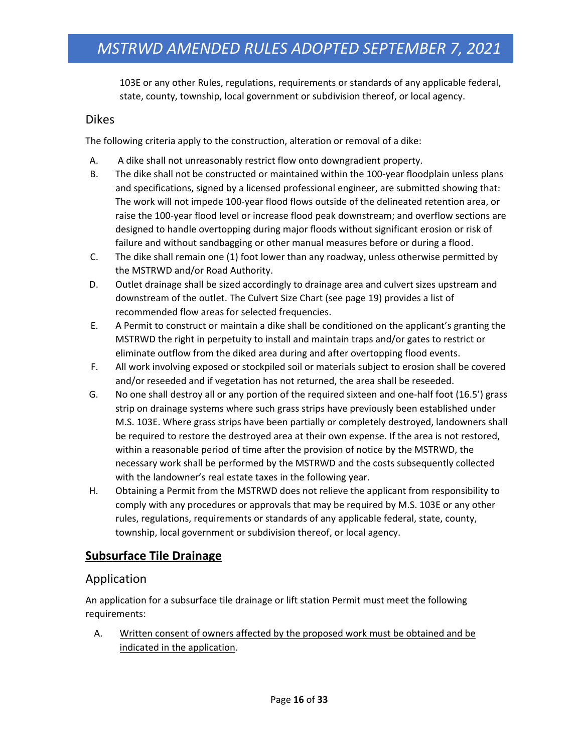103E or any other Rules, regulations, requirements or standards of any applicable federal, state, county, township, local government or subdivision thereof, or local agency.

#### Dikes

The following criteria apply to the construction, alteration or removal of a dike:

- A. A dike shall not unreasonably restrict flow onto downgradient property.
- B. The dike shall not be constructed or maintained within the 100‐year floodplain unless plans and specifications, signed by a licensed professional engineer, are submitted showing that: The work will not impede 100‐year flood flows outside of the delineated retention area, or raise the 100‐year flood level or increase flood peak downstream; and overflow sections are designed to handle overtopping during major floods without significant erosion or risk of failure and without sandbagging or other manual measures before or during a flood.
- C. The dike shall remain one (1) foot lower than any roadway, unless otherwise permitted by the MSTRWD and/or Road Authority.
- D. Outlet drainage shall be sized accordingly to drainage area and culvert sizes upstream and downstream of the outlet. The Culvert Size Chart (see page 19) provides a list of recommended flow areas for selected frequencies.
- E. A Permit to construct or maintain a dike shall be conditioned on the applicant's granting the MSTRWD the right in perpetuity to install and maintain traps and/or gates to restrict or eliminate outflow from the diked area during and after overtopping flood events.
- F. All work involving exposed or stockpiled soil or materials subject to erosion shall be covered and/or reseeded and if vegetation has not returned, the area shall be reseeded.
- G. No one shall destroy all or any portion of the required sixteen and one‐half foot (16.5') grass strip on drainage systems where such grass strips have previously been established under M.S. 103E. Where grass strips have been partially or completely destroyed, landowners shall be required to restore the destroyed area at their own expense. If the area is not restored, within a reasonable period of time after the provision of notice by the MSTRWD, the necessary work shall be performed by the MSTRWD and the costs subsequently collected with the landowner's real estate taxes in the following year.
- H. Obtaining a Permit from the MSTRWD does not relieve the applicant from responsibility to comply with any procedures or approvals that may be required by M.S. 103E or any other rules, regulations, requirements or standards of any applicable federal, state, county, township, local government or subdivision thereof, or local agency.

### **Subsurface Tile Drainage**

#### Application

An application for a subsurface tile drainage or lift station Permit must meet the following requirements:

A. Written consent of owners affected by the proposed work must be obtained and be indicated in the application.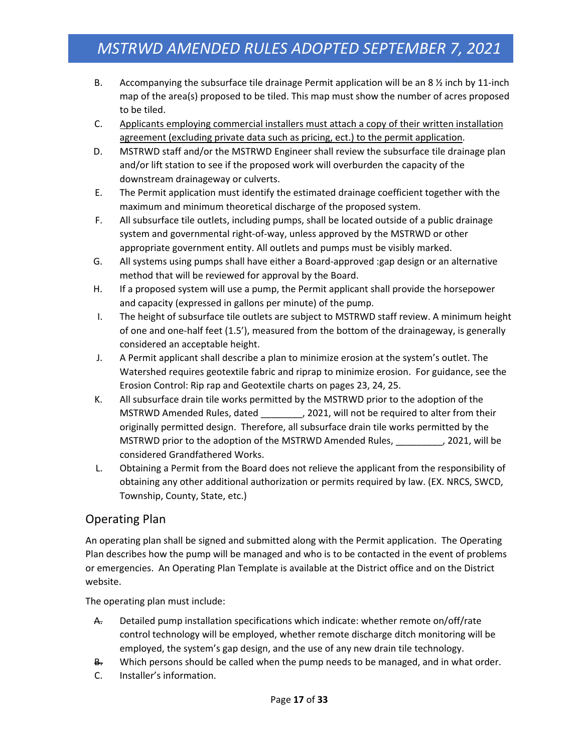- B. Accompanying the subsurface tile drainage Permit application will be an 8  $\frac{1}{2}$  inch by 11-inch map of the area(s) proposed to be tiled. This map must show the number of acres proposed to be tiled.
- C. Applicants employing commercial installers must attach a copy of their written installation agreement (excluding private data such as pricing, ect.) to the permit application.
- D. MSTRWD staff and/or the MSTRWD Engineer shall review the subsurface tile drainage plan and/or lift station to see if the proposed work will overburden the capacity of the downstream drainageway or culverts.
- E. The Permit application must identify the estimated drainage coefficient together with the maximum and minimum theoretical discharge of the proposed system.
- F. All subsurface tile outlets, including pumps, shall be located outside of a public drainage system and governmental right‐of‐way, unless approved by the MSTRWD or other appropriate government entity. All outlets and pumps must be visibly marked.
- G. All systems using pumps shall have either a Board‐approved :gap design or an alternative method that will be reviewed for approval by the Board.
- H. If a proposed system will use a pump, the Permit applicant shall provide the horsepower and capacity (expressed in gallons per minute) of the pump.
- I. The height of subsurface tile outlets are subject to MSTRWD staff review. A minimum height of one and one‐half feet (1.5'), measured from the bottom of the drainageway, is generally considered an acceptable height.
- J. A Permit applicant shall describe a plan to minimize erosion at the system's outlet. The Watershed requires geotextile fabric and riprap to minimize erosion. For guidance, see the Erosion Control: Rip rap and Geotextile charts on pages 23, 24, 25.
- K. All subsurface drain tile works permitted by the MSTRWD prior to the adoption of the MSTRWD Amended Rules, dated \_\_\_\_\_\_\_\_\_, 2021, will not be required to alter from their originally permitted design. Therefore, all subsurface drain tile works permitted by the MSTRWD prior to the adoption of the MSTRWD Amended Rules, \_\_\_\_\_\_\_\_\_, 2021, will be considered Grandfathered Works.
- L. Obtaining a Permit from the Board does not relieve the applicant from the responsibility of obtaining any other additional authorization or permits required by law. (EX. NRCS, SWCD, Township, County, State, etc.)

#### Operating Plan

An operating plan shall be signed and submitted along with the Permit application. The Operating Plan describes how the pump will be managed and who is to be contacted in the event of problems or emergencies. An Operating Plan Template is available at the District office and on the District website.

The operating plan must include:

- A. Detailed pump installation specifications which indicate: whether remote on/off/rate control technology will be employed, whether remote discharge ditch monitoring will be employed, the system's gap design, and the use of any new drain tile technology.
- B. Which persons should be called when the pump needs to be managed, and in what order.
- C. Installer's information.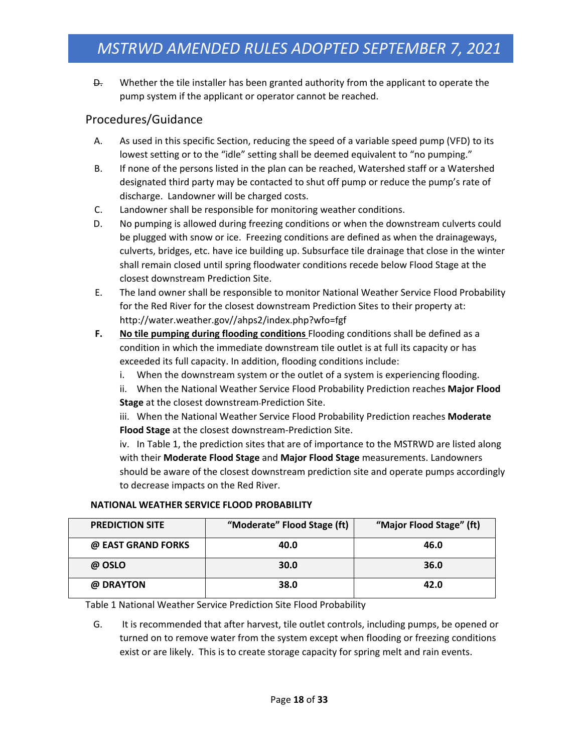D. Whether the tile installer has been granted authority from the applicant to operate the pump system if the applicant or operator cannot be reached.

#### Procedures/Guidance

- A. As used in this specific Section, reducing the speed of a variable speed pump (VFD) to its lowest setting or to the "idle" setting shall be deemed equivalent to "no pumping."
- B. If none of the persons listed in the plan can be reached, Watershed staff or a Watershed designated third party may be contacted to shut off pump or reduce the pump's rate of discharge. Landowner will be charged costs.
- C. Landowner shall be responsible for monitoring weather conditions.
- D. No pumping is allowed during freezing conditions or when the downstream culverts could be plugged with snow or ice. Freezing conditions are defined as when the drainageways, culverts, bridges, etc. have ice building up. Subsurface tile drainage that close in the winter shall remain closed until spring floodwater conditions recede below Flood Stage at the closest downstream Prediction Site.
- E. The land owner shall be responsible to monitor National Weather Service Flood Probability for the Red River for the closest downstream Prediction Sites to their property at: http://water.weather.gov//ahps2/index.php?wfo=fgf
- **F. No tile pumping during flooding conditions** Flooding conditions shall be defined as a condition in which the immediate downstream tile outlet is at full its capacity or has exceeded its full capacity. In addition, flooding conditions include: 
	- i. When the downstream system or the outlet of a system is experiencing flooding.
	- ii. When the National Weather Service Flood Probability Prediction reaches **Major Flood Stage** at the closest downstream Prediction Site.

iii. When the National Weather Service Flood Probability Prediction reaches **Moderate Flood Stage** at the closest downstream‐Prediction Site.

iv. In Table 1, the prediction sites that are of importance to the MSTRWD are listed along with their **Moderate Flood Stage** and **Major Flood Stage** measurements. Landowners should be aware of the closest downstream prediction site and operate pumps accordingly to decrease impacts on the Red River.

#### **NATIONAL WEATHER SERVICE FLOOD PROBABILITY**

| <b>PREDICTION SITE</b> | "Moderate" Flood Stage (ft) | "Major Flood Stage" (ft) |
|------------------------|-----------------------------|--------------------------|
| @ EAST GRAND FORKS     | 40.0                        | 46.0                     |
| @ OSLO                 | 30.0                        | 36.0                     |
| @ DRAYTON              | 38.0                        | 42.0                     |

Table 1 National Weather Service Prediction Site Flood Probability

G. It is recommended that after harvest, tile outlet controls, including pumps, be opened or turned on to remove water from the system except when flooding or freezing conditions exist or are likely. This is to create storage capacity for spring melt and rain events.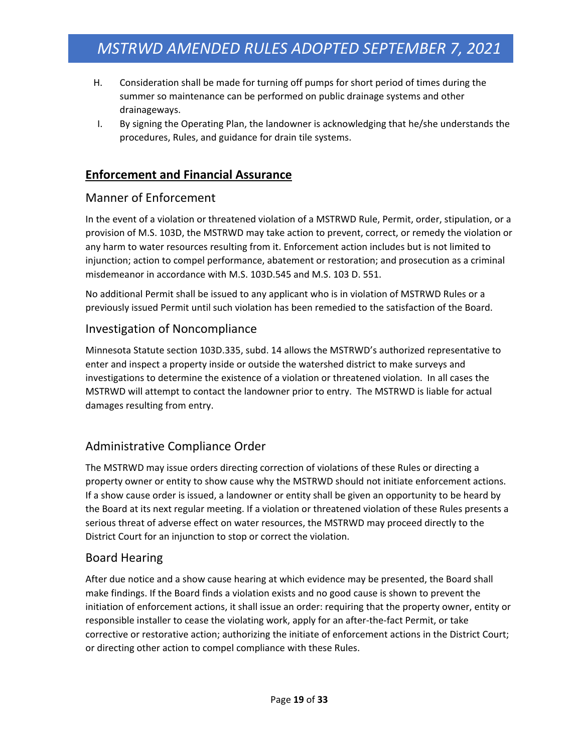- H. Consideration shall be made for turning off pumps for short period of times during the summer so maintenance can be performed on public drainage systems and other drainageways.
- I. By signing the Operating Plan, the landowner is acknowledging that he/she understands the procedures, Rules, and guidance for drain tile systems.

### **Enforcement and Financial Assurance**

#### Manner of Enforcement

In the event of a violation or threatened violation of a MSTRWD Rule, Permit, order, stipulation, or a provision of M.S. 103D, the MSTRWD may take action to prevent, correct, or remedy the violation or any harm to water resources resulting from it. Enforcement action includes but is not limited to injunction; action to compel performance, abatement or restoration; and prosecution as a criminal misdemeanor in accordance with M.S. 103D.545 and M.S. 103 D. 551.

No additional Permit shall be issued to any applicant who is in violation of MSTRWD Rules or a previously issued Permit until such violation has been remedied to the satisfaction of the Board.

#### Investigation of Noncompliance

Minnesota Statute section 103D.335, subd. 14 allows the MSTRWD's authorized representative to enter and inspect a property inside or outside the watershed district to make surveys and investigations to determine the existence of a violation or threatened violation. In all cases the MSTRWD will attempt to contact the landowner prior to entry. The MSTRWD is liable for actual damages resulting from entry.

### Administrative Compliance Order

The MSTRWD may issue orders directing correction of violations of these Rules or directing a property owner or entity to show cause why the MSTRWD should not initiate enforcement actions. If a show cause order is issued, a landowner or entity shall be given an opportunity to be heard by the Board at its next regular meeting. If a violation or threatened violation of these Rules presents a serious threat of adverse effect on water resources, the MSTRWD may proceed directly to the District Court for an injunction to stop or correct the violation.

#### Board Hearing

After due notice and a show cause hearing at which evidence may be presented, the Board shall make findings. If the Board finds a violation exists and no good cause is shown to prevent the initiation of enforcement actions, it shall issue an order: requiring that the property owner, entity or responsible installer to cease the violating work, apply for an after‐the‐fact Permit, or take corrective or restorative action; authorizing the initiate of enforcement actions in the District Court; or directing other action to compel compliance with these Rules.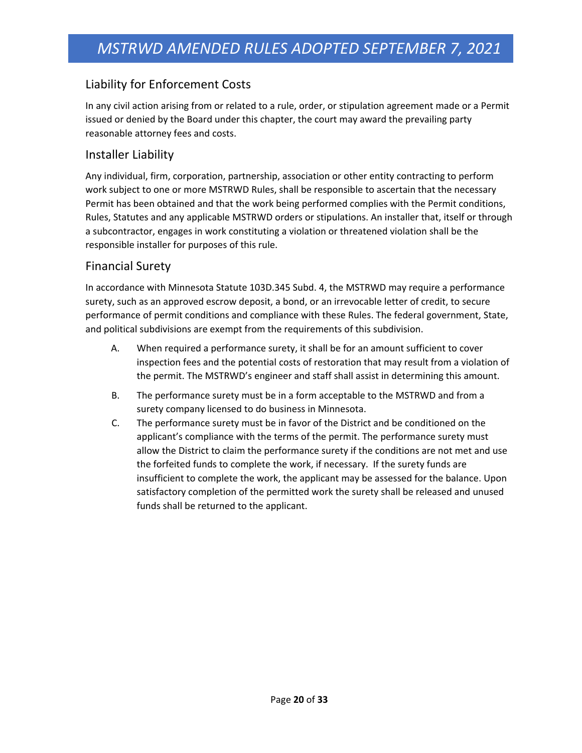#### Liability for Enforcement Costs

In any civil action arising from or related to a rule, order, or stipulation agreement made or a Permit issued or denied by the Board under this chapter, the court may award the prevailing party reasonable attorney fees and costs.

#### Installer Liability

Any individual, firm, corporation, partnership, association or other entity contracting to perform work subject to one or more MSTRWD Rules, shall be responsible to ascertain that the necessary Permit has been obtained and that the work being performed complies with the Permit conditions, Rules, Statutes and any applicable MSTRWD orders or stipulations. An installer that, itself or through a subcontractor, engages in work constituting a violation or threatened violation shall be the responsible installer for purposes of this rule.

#### Financial Surety

In accordance with Minnesota Statute 103D.345 Subd. 4, the MSTRWD may require a performance surety, such as an approved escrow deposit, a bond, or an irrevocable letter of credit, to secure performance of permit conditions and compliance with these Rules. The federal government, State, and political subdivisions are exempt from the requirements of this subdivision.

- A. When required a performance surety, it shall be for an amount sufficient to cover inspection fees and the potential costs of restoration that may result from a violation of the permit. The MSTRWD's engineer and staff shall assist in determining this amount.
- B. The performance surety must be in a form acceptable to the MSTRWD and from a surety company licensed to do business in Minnesota.
- C. The performance surety must be in favor of the District and be conditioned on the applicant's compliance with the terms of the permit. The performance surety must allow the District to claim the performance surety if the conditions are not met and use the forfeited funds to complete the work, if necessary. If the surety funds are insufficient to complete the work, the applicant may be assessed for the balance. Upon satisfactory completion of the permitted work the surety shall be released and unused funds shall be returned to the applicant.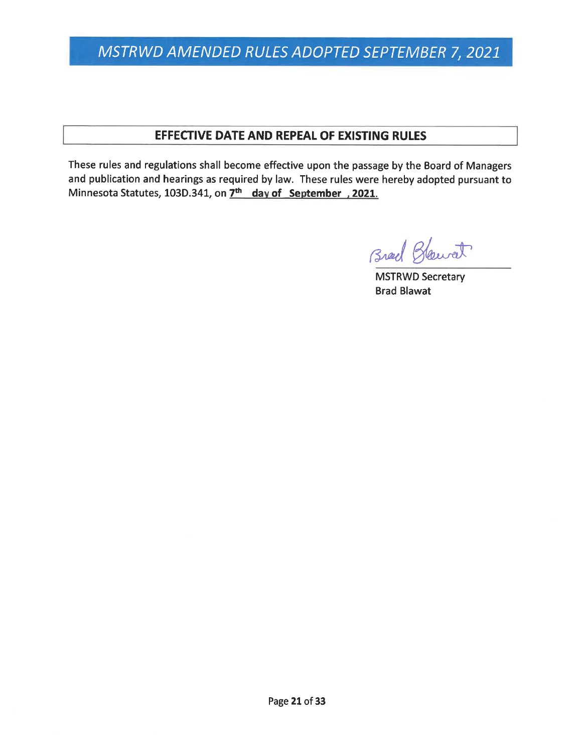#### EFFECTIVE DATE AND REPEAL OF EXISTING RULES

These rules and regulations shall become effective upon the passage by the Board of Managers and publication and hearings as required by law. These rules were hereby adopted pursuant to Minnesota Statutes, 103D.341, on 7<sup>th</sup> day of September, 2021.

Breed Blowet

**MSTRWD Secretary Brad Blawat**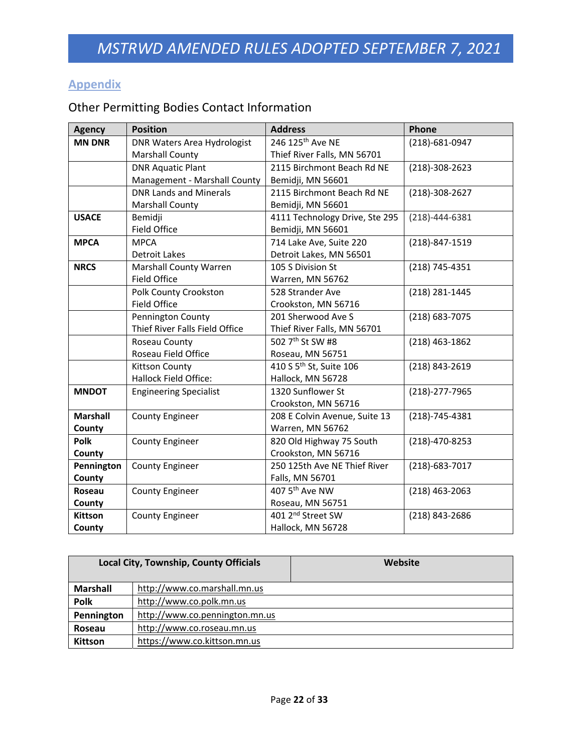### **Appendix**

### Other Permitting Bodies Contact Information

| <b>Agency</b>   | <b>Position</b>                    | <b>Address</b>                      | Phone                |
|-----------------|------------------------------------|-------------------------------------|----------------------|
| <b>MN DNR</b>   | <b>DNR Waters Area Hydrologist</b> | 246 125 <sup>th</sup> Ave NE        | (218)-681-0947       |
|                 | <b>Marshall County</b>             | Thief River Falls, MN 56701         |                      |
|                 | <b>DNR Aquatic Plant</b>           | 2115 Birchmont Beach Rd NE          | $(218)-308-2623$     |
|                 | Management - Marshall County       | Bemidji, MN 56601                   |                      |
|                 | <b>DNR Lands and Minerals</b>      | 2115 Birchmont Beach Rd NE          | $(218)-308-2627$     |
|                 | <b>Marshall County</b>             | Bemidji, MN 56601                   |                      |
| <b>USACE</b>    | Bemidji                            | 4111 Technology Drive, Ste 295      | $(218)-444-6381$     |
|                 | Field Office                       | Bemidji, MN 56601                   |                      |
| <b>MPCA</b>     | <b>MPCA</b>                        | 714 Lake Ave, Suite 220             | (218)-847-1519       |
|                 | Detroit Lakes                      | Detroit Lakes, MN 56501             |                      |
| <b>NRCS</b>     | <b>Marshall County Warren</b>      | 105 S Division St                   | (218) 745-4351       |
|                 | <b>Field Office</b>                | <b>Warren, MN 56762</b>             |                      |
|                 | <b>Polk County Crookston</b>       | 528 Strander Ave                    | (218) 281-1445       |
|                 | <b>Field Office</b>                | Crookston, MN 56716                 |                      |
|                 | Pennington County                  | 201 Sherwood Ave S                  | (218) 683-7075       |
|                 | Thief River Falls Field Office     | Thief River Falls, MN 56701         |                      |
|                 | Roseau County                      | 502 7 <sup>th</sup> St SW #8        | $(218)$ 463-1862     |
|                 | Roseau Field Office                | Roseau, MN 56751                    |                      |
|                 | <b>Kittson County</b>              | 410 S 5 <sup>th</sup> St, Suite 106 | (218) 843-2619       |
|                 | Hallock Field Office:              | Hallock, MN 56728                   |                      |
| <b>MNDOT</b>    | <b>Engineering Specialist</b>      | 1320 Sunflower St                   | (218)-277-7965       |
|                 |                                    | Crookston, MN 56716                 |                      |
| <b>Marshall</b> | <b>County Engineer</b>             | 208 E Colvin Avenue, Suite 13       | $(218) - 745 - 4381$ |
| County          |                                    | Warren, MN 56762                    |                      |
| Polk            | <b>County Engineer</b>             | 820 Old Highway 75 South            | (218)-470-8253       |
| County          |                                    | Crookston, MN 56716                 |                      |
| Pennington      | <b>County Engineer</b>             | 250 125th Ave NE Thief River        | $(218)-683-7017$     |
| County          |                                    | Falls, MN 56701                     |                      |
| Roseau          | <b>County Engineer</b>             | 407 5 <sup>th</sup> Ave NW          | $(218)$ 463-2063     |
| County          |                                    | Roseau, MN 56751                    |                      |
| <b>Kittson</b>  | <b>County Engineer</b>             | 401 2 <sup>nd</sup> Street SW       | (218) 843-2686       |
| County          |                                    | Hallock, MN 56728                   |                      |

|                 | Local City, Township, County Officials | Website |  |  |  |  |  |
|-----------------|----------------------------------------|---------|--|--|--|--|--|
| <b>Marshall</b> | http://www.co.marshall.mn.us           |         |  |  |  |  |  |
| Polk            | http://www.co.polk.mn.us               |         |  |  |  |  |  |
| Pennington      | http://www.co.pennington.mn.us         |         |  |  |  |  |  |
| Roseau          | http://www.co.roseau.mn.us             |         |  |  |  |  |  |
| <b>Kittson</b>  | https://www.co.kittson.mn.us           |         |  |  |  |  |  |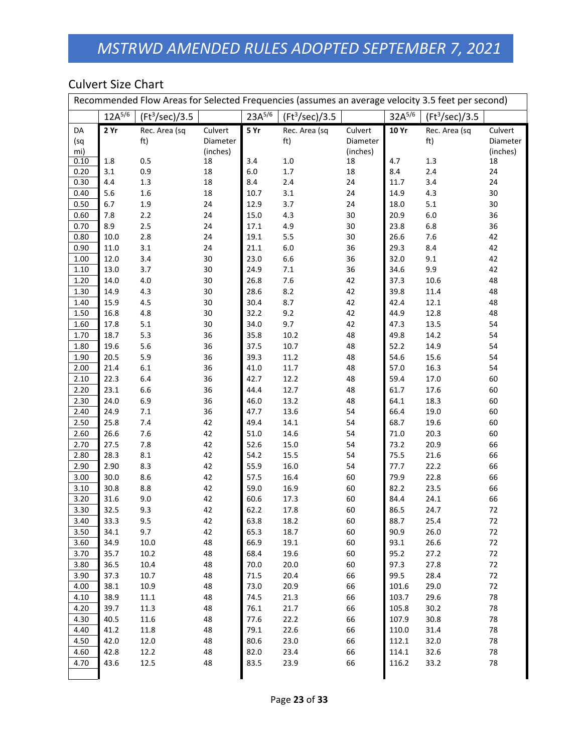### Culvert Size Chart

|      | Recommended Flow Areas for Selected Frequencies (assumes an average velocity 3.5 feet per second) |                  |          |             |                  |          |              |                  |          |  |
|------|---------------------------------------------------------------------------------------------------|------------------|----------|-------------|------------------|----------|--------------|------------------|----------|--|
|      | $12A^{5/6}$                                                                                       | $(Ft^3/sec)/3.5$ |          | $23A^{5/6}$ | $(Ft^3/sec)/3.5$ |          | $32A^{5/6}$  | $(Ft^3/sec)/3.5$ |          |  |
| DA   | 2Yr                                                                                               | Rec. Area (sq    | Culvert  | 5 Yr        | Rec. Area (sq    | Culvert  | <b>10 Yr</b> | Rec. Area (sq    | Culvert  |  |
| (sq  |                                                                                                   | ft)              | Diameter |             | ft)              | Diameter |              | ft)              | Diameter |  |
| mi)  |                                                                                                   |                  | (inches) |             |                  | (inches) |              |                  | (inches) |  |
| 0.10 | 1.8                                                                                               | 0.5              | 18       | 3.4         | $1.0\,$          | 18       | 4.7          | 1.3              | 18       |  |
| 0.20 | 3.1                                                                                               | 0.9              | 18       | 6.0         | 1.7              | 18       | 8.4          | 2.4              | 24       |  |
| 0.30 | 4.4                                                                                               | $1.3$            | 18       | 8.4         | 2.4              | 24       | 11.7         | 3.4              | 24       |  |
| 0.40 | 5.6                                                                                               | $1.6\,$          | 18       | 10.7        | 3.1              | 24       | 14.9         | 4.3              | 30       |  |
| 0.50 | 6.7                                                                                               | 1.9              | 24       | 12.9        | 3.7              | 24       | 18.0         | 5.1              | 30       |  |
| 0.60 | 7.8                                                                                               | $2.2$            | 24       | 15.0        | 4.3              | 30       | 20.9         | $6.0\,$          | 36       |  |
| 0.70 | 8.9                                                                                               | 2.5              | 24       | 17.1        | 4.9              | 30       | 23.8         | 6.8              | 36       |  |
| 0.80 | 10.0                                                                                              | 2.8              | 24       | 19.1        | 5.5              | 30       | 26.6         | 7.6              | 42       |  |
| 0.90 | 11.0                                                                                              | 3.1              | 24       | 21.1        | 6.0              | 36       | 29.3         | 8.4              | 42       |  |
| 1.00 | 12.0                                                                                              | 3.4              | 30       | 23.0        | 6.6              | 36       | 32.0         | 9.1              | 42       |  |
| 1.10 | 13.0                                                                                              | 3.7              | 30       | 24.9        | 7.1              | 36       | 34.6         | 9.9              | 42       |  |
| 1.20 | 14.0                                                                                              | 4.0              | 30       | 26.8        | 7.6              | 42       | 37.3         | 10.6             | 48       |  |
| 1.30 | 14.9                                                                                              | 4.3              | 30       | 28.6        | 8.2              | 42       | 39.8         | 11.4             | 48       |  |
| 1.40 | 15.9                                                                                              | 4.5              | 30       | 30.4        | 8.7              | 42       | 42.4         | 12.1             | 48       |  |
| 1.50 | 16.8                                                                                              | 4.8              | 30       | 32.2        | 9.2              | 42       | 44.9         | 12.8             | 48       |  |
| 1.60 | 17.8                                                                                              | $5.1$            | 30       | 34.0        | 9.7              | 42       | 47.3         | 13.5             | 54       |  |
| 1.70 | 18.7                                                                                              | 5.3              | 36       | 35.8        | 10.2             | 48       | 49.8         | 14.2             | 54       |  |
| 1.80 | 19.6                                                                                              | 5.6              | 36       | 37.5        | 10.7             | 48       | 52.2         | 14.9             | 54       |  |
| 1.90 | 20.5                                                                                              | 5.9              | 36       | 39.3        | 11.2             | 48       | 54.6         | 15.6             | 54       |  |
| 2.00 | 21.4                                                                                              | $6.1\,$          | 36       | 41.0        | 11.7             | 48       | 57.0         | 16.3             | 54       |  |
| 2.10 | 22.3                                                                                              | $6.4$            | 36       | 42.7        | 12.2             | 48       | 59.4         | 17.0             | 60       |  |
| 2.20 | 23.1                                                                                              | 6.6              | 36       | 44.4        | 12.7             | 48       | 61.7         | 17.6             | 60       |  |
| 2.30 | 24.0                                                                                              | 6.9              | 36       | 46.0        | 13.2             | 48       | 64.1         | 18.3             | 60       |  |
| 2.40 | 24.9                                                                                              | 7.1              | 36       | 47.7        | 13.6             | 54       | 66.4         | 19.0             | 60       |  |
| 2.50 | 25.8                                                                                              | 7.4              | 42       | 49.4        | 14.1             | 54       | 68.7         | 19.6             | 60       |  |
| 2.60 | 26.6                                                                                              | 7.6              | 42       | 51.0        | 14.6             | 54       | 71.0         | 20.3             | 60       |  |
| 2.70 | 27.5                                                                                              | 7.8              | 42       | 52.6        | 15.0             | 54       | 73.2         | 20.9             | 66       |  |
| 2.80 | 28.3                                                                                              | $8.1\,$          | 42       | 54.2        | 15.5             | 54       | 75.5         | 21.6             | 66       |  |
| 2.90 | 2.90                                                                                              | 8.3              | 42       | 55.9        | 16.0             | 54       | 77.7         | 22.2             | 66       |  |
| 3.00 | 30.0                                                                                              | 8.6              | 42       | 57.5        | 16.4             | 60       | 79.9         | 22.8             | 66       |  |
| 3.10 | 30.8                                                                                              | 8.8              | 42       | 59.0        | 16.9             | 60       | 82.2         | 23.5             | 66       |  |
| 3.20 | 31.6                                                                                              | 9.0              | 42       | 60.6        | 17.3             | 60       | 84.4         | 24.1             | 66       |  |
| 3.30 | 32.5                                                                                              | 9.3              | 42       | 62.2        | 17.8             | 60       | 86.5         | 24.7             | 72       |  |
| 3.40 | 33.3                                                                                              | 9.5              | 42       | 63.8        | 18.2             | 60       | 88.7         | 25.4             | 72       |  |
| 3.50 | 34.1                                                                                              | 9.7              | 42       | 65.3        | 18.7             | 60       | 90.9         | 26.0             | 72       |  |
| 3.60 | 34.9                                                                                              | 10.0             | 48       | 66.9        | 19.1             | 60       | 93.1         | 26.6             | 72       |  |
| 3.70 | 35.7                                                                                              | 10.2             | 48       | 68.4        | 19.6             | 60       | 95.2         | 27.2             | 72       |  |
| 3.80 | 36.5                                                                                              | 10.4             | 48       | 70.0        | 20.0             | 60       | 97.3         | 27.8             | 72       |  |
| 3.90 | 37.3                                                                                              | 10.7             | 48       | 71.5        | 20.4             | 66       | 99.5         | 28.4             | 72       |  |
| 4.00 | 38.1                                                                                              | 10.9             | 48       | 73.0        | 20.9             | 66       | 101.6        | 29.0             | 72       |  |
| 4.10 | 38.9                                                                                              | 11.1             | 48       | 74.5        | 21.3             | 66       | 103.7        | 29.6             | 78       |  |
| 4.20 | 39.7                                                                                              | 11.3             | 48       | 76.1        | 21.7             | 66       | 105.8        | 30.2             | 78       |  |
| 4.30 | 40.5                                                                                              | 11.6             | 48       | 77.6        | 22.2             | 66       | 107.9        | 30.8             | 78       |  |
| 4.40 | 41.2                                                                                              | 11.8             | 48       | 79.1        | 22.6             | 66       | 110.0        | 31.4             | 78       |  |
| 4.50 | 42.0                                                                                              | 12.0             | 48       | 80.6        | 23.0             | 66       | 112.1        | 32.0             | 78       |  |
| 4.60 | 42.8                                                                                              | 12.2             | 48       | 82.0        | 23.4             | 66       | 114.1        | 32.6             | 78       |  |
| 4.70 | 43.6                                                                                              | 12.5             | 48       | 83.5        | 23.9             | 66       | 116.2        | 33.2             | 78       |  |
|      |                                                                                                   |                  |          |             |                  |          |              |                  |          |  |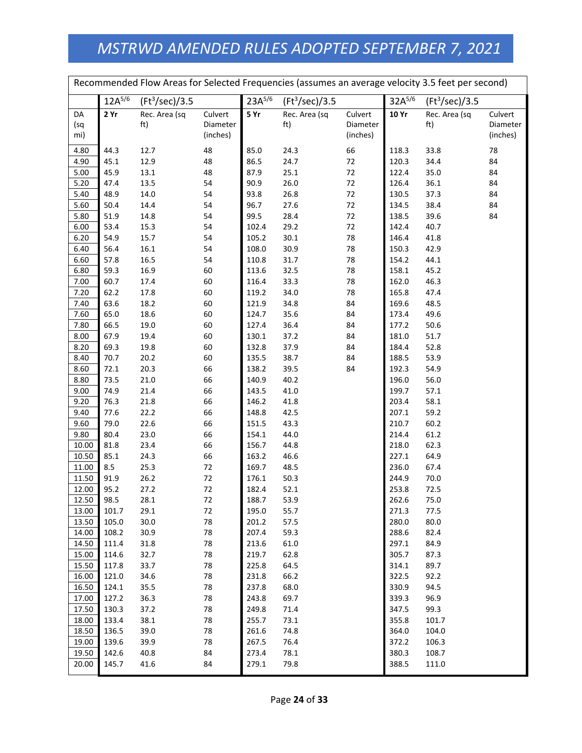|              | Recommended Flow Areas for Selected Frequencies (assumes an average velocity 3.5 feet per second) |                  |          |                |                  |          |                |                              |          |
|--------------|---------------------------------------------------------------------------------------------------|------------------|----------|----------------|------------------|----------|----------------|------------------------------|----------|
|              | $12A^{5/6}$                                                                                       | $(Ft^3/sec)/3.5$ |          | $23A^{5/6}$    | $(Ft^3/sec)/3.5$ |          | $32A^{5/6}$    | $\overline{(Ft^3/sec)}$ /3.5 |          |
| DA           | 2 Yr                                                                                              | Rec. Area (sq    | Culvert  | 5 Yr           | Rec. Area (sq    | Culvert  | 10 Yr          | Rec. Area (sq                | Culvert  |
| (sq          |                                                                                                   | ft)              | Diameter |                | ft)              | Diameter |                | ft)                          | Diameter |
| mi)          |                                                                                                   |                  | (inches) |                |                  | (inches) |                |                              | (inches) |
| 4.80         | 44.3                                                                                              | 12.7             | 48       | 85.0           | 24.3             | 66       | 118.3          | 33.8                         | 78       |
| 4.90         | 45.1                                                                                              | 12.9             | 48       | 86.5           | 24.7             | 72       | 120.3          | 34.4                         | 84       |
| 5.00         | 45.9                                                                                              | 13.1             | 48       | 87.9           | 25.1             | $72\,$   | 122.4          | 35.0                         | 84       |
| 5.20         | 47.4                                                                                              | 13.5             | 54       | 90.9           | 26.0             | $72\,$   | 126.4          | 36.1                         | 84       |
| 5.40         | 48.9                                                                                              | 14.0             | 54       | 93.8           | 26.8             | $72\,$   | 130.5          | 37.3                         | 84       |
| 5.60         | 50.4                                                                                              | 14.4             | 54       | 96.7           | 27.6             | $72\,$   | 134.5          | 38.4                         | 84       |
| 5.80         | 51.9                                                                                              | 14.8             | 54       | 99.5           | 28.4             | $72\,$   | 138.5          | 39.6                         | 84       |
| 6.00         | 53.4                                                                                              | 15.3             | 54       | 102.4          | 29.2             | $72\,$   | 142.4          | 40.7                         |          |
| 6.20         | 54.9                                                                                              | 15.7             | 54       | 105.2          | 30.1             | 78       | 146.4          | 41.8                         |          |
| 6.40         | 56.4                                                                                              | 16.1             | 54       | 108.0          | 30.9             | 78       | 150.3          | 42.9                         |          |
| 6.60         | 57.8                                                                                              | 16.5             | 54       | 110.8          | 31.7             | 78       | 154.2          | 44.1                         |          |
| 6.80         | 59.3                                                                                              | 16.9             | 60       | 113.6          | 32.5             | 78       | 158.1          | 45.2                         |          |
| 7.00         | 60.7                                                                                              | 17.4             | 60       | 116.4          | 33.3             | 78       | 162.0          | 46.3                         |          |
| 7.20         | 62.2                                                                                              | 17.8             | 60       | 119.2          | 34.0             | 78       | 165.8          | 47.4                         |          |
| 7.40         | 63.6                                                                                              | 18.2             | 60       | 121.9          | 34.8             | 84       | 169.6          | 48.5                         |          |
| 7.60         | 65.0                                                                                              | 18.6             | 60       | 124.7          | 35.6             | 84       | 173.4          | 49.6                         |          |
| 7.80         | 66.5                                                                                              | 19.0             | 60       | 127.4          | 36.4             | 84       | 177.2          | 50.6                         |          |
| 8.00         | 67.9                                                                                              | 19.4             | 60       | 130.1          | 37.2             | 84       | 181.0          | 51.7                         |          |
| 8.20         | 69.3                                                                                              | 19.8             | 60       | 132.8          | 37.9             | 84       | 184.4          | 52.8                         |          |
| 8.40         | 70.7                                                                                              | 20.2             | 60       | 135.5          | 38.7             | 84       | 188.5          | 53.9                         |          |
| 8.60         | 72.1                                                                                              | 20.3             | 66       | 138.2          | 39.5             | 84       | 192.3          | 54.9                         |          |
| 8.80<br>9.00 | 73.5<br>74.9                                                                                      | 21.0<br>21.4     | 66<br>66 | 140.9<br>143.5 | 40.2<br>41.0     |          | 196.0<br>199.7 | 56.0<br>57.1                 |          |
| 9.20         | 76.3                                                                                              | 21.8             | 66       | 146.2          | 41.8             |          | 203.4          | 58.1                         |          |
| 9.40         | 77.6                                                                                              | 22.2             | 66       | 148.8          | 42.5             |          | 207.1          | 59.2                         |          |
| 9.60         | 79.0                                                                                              | 22.6             | 66       | 151.5          | 43.3             |          | 210.7          | 60.2                         |          |
| 9.80         | 80.4                                                                                              | 23.0             | 66       | 154.1          | 44.0             |          | 214.4          | 61.2                         |          |
| 10.00        | 81.8                                                                                              | 23.4             | 66       | 156.7          | 44.8             |          | 218.0          | 62.3                         |          |
| 10.50        | 85.1                                                                                              | 24.3             | 66       | 163.2          | 46.6             |          | 227.1          | 64.9                         |          |
| 11.00        | 8.5                                                                                               | 25.3             | 72       | 169.7          | 48.5             |          | 236.0          | 67.4                         |          |
| 11.50        | 91.9                                                                                              | 26.2             | 72       | 176.1          | 50.3             |          | 244.9          | 70.0                         |          |
| 12.00        | 95.2                                                                                              | 27.2             | 72       | 182.4          | 52.1             |          | 253.8          | 72.5                         |          |
| 12.50        | 98.5                                                                                              | 28.1             | 72       | 188.7          | 53.9             |          | 262.6          | 75.0                         |          |
| 13.00        | 101.7                                                                                             | 29.1             | 72       | 195.0          | 55.7             |          | 271.3          | 77.5                         |          |
| 13.50        | 105.0                                                                                             | 30.0             | 78       | 201.2          | 57.5             |          | 280.0          | 80.0                         |          |
| 14.00        | 108.2                                                                                             | 30.9             | 78       | 207.4          | 59.3             |          | 288.6          | 82.4                         |          |
| 14.50        | 111.4                                                                                             | 31.8             | 78       | 213.6          | 61.0             |          | 297.1          | 84.9                         |          |
| 15.00        | 114.6                                                                                             | 32.7             | 78       | 219.7          | 62.8             |          | 305.7          | 87.3                         |          |
| 15.50        | 117.8                                                                                             | 33.7             | 78       | 225.8          | 64.5             |          | 314.1          | 89.7                         |          |
| 16.00        | 121.0                                                                                             | 34.6             | 78       | 231.8          | 66.2             |          | 322.5          | 92.2                         |          |
| 16.50        | 124.1                                                                                             | 35.5             | 78       | 237.8          | 68.0             |          | 330.9          | 94.5                         |          |
| 17.00        | 127.2                                                                                             | 36.3             | 78       | 243.8          | 69.7             |          | 339.3          | 96.9                         |          |
| 17.50        | 130.3                                                                                             | 37.2             | 78       | 249.8          | 71.4             |          | 347.5          | 99.3                         |          |
| 18.00        | 133.4                                                                                             | 38.1             | 78       | 255.7          | 73.1             |          | 355.8          | 101.7                        |          |
| 18.50        | 136.5                                                                                             | 39.0             | 78       | 261.6          | 74.8             |          | 364.0          | 104.0                        |          |
| 19.00        | 139.6                                                                                             | 39.9             | 78       | 267.5          | 76.4             |          | 372.2          | 106.3                        |          |
| 19.50        | 142.6                                                                                             | 40.8             | 84       | 273.4          | 78.1             |          | 380.3          | 108.7                        |          |
| 20.00        | 145.7                                                                                             | 41.6             | 84       | 279.1          | 79.8             |          | 388.5          | 111.0                        |          |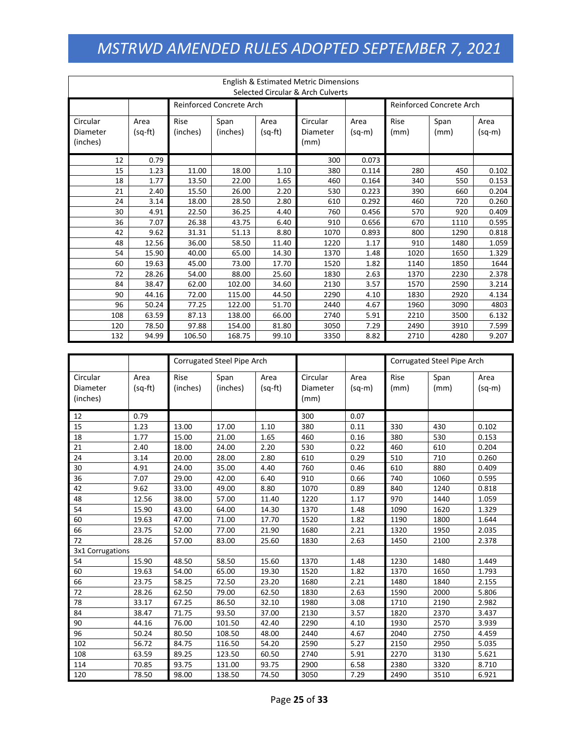| <b>English &amp; Estimated Metric Dimensions</b><br>Selected Circular & Arch Culverts |                   |                  |                          |                   |                              |                  |              |                          |                  |  |  |  |
|---------------------------------------------------------------------------------------|-------------------|------------------|--------------------------|-------------------|------------------------------|------------------|--------------|--------------------------|------------------|--|--|--|
|                                                                                       |                   |                  | Reinforced Concrete Arch |                   |                              |                  |              | Reinforced Concrete Arch |                  |  |  |  |
| Circular<br>Diameter<br>(inches)                                                      | Area<br>$(sq-ft)$ | Rise<br>(inches) | Span<br>(inches)         | Area<br>$(sq-ft)$ | Circular<br>Diameter<br>(mm) | Area<br>$(sq-m)$ | Rise<br>(mm) | Span<br>(mm)             | Area<br>$(sq-m)$ |  |  |  |
| 12                                                                                    | 0.79              |                  |                          |                   | 300                          | 0.073            |              |                          |                  |  |  |  |
| 15                                                                                    | 1.23              | 11.00            | 18.00                    | 1.10              | 380                          | 0.114            | 280          | 450                      | 0.102            |  |  |  |
| 18                                                                                    | 1.77              | 13.50            | 22.00                    | 1.65              | 460                          | 0.164            | 340          | 550                      | 0.153            |  |  |  |
| 21                                                                                    | 2.40              | 15.50            | 26.00                    | 2.20              | 530                          | 0.223            | 390          | 660                      | 0.204            |  |  |  |
| 24                                                                                    | 3.14              | 18.00            | 28.50                    | 2.80              | 610                          | 0.292            | 460          | 720                      | 0.260            |  |  |  |
| 30                                                                                    | 4.91              | 22.50            | 36.25                    | 4.40              | 760                          | 0.456            | 570          | 920                      | 0.409            |  |  |  |
| 36                                                                                    | 7.07              | 26.38            | 43.75                    | 6.40              | 910                          | 0.656            | 670          | 1110                     | 0.595            |  |  |  |
| 42                                                                                    | 9.62              | 31.31            | 51.13                    | 8.80              | 1070                         | 0.893            | 800          | 1290                     | 0.818            |  |  |  |
| 48                                                                                    | 12.56             | 36.00            | 58.50                    | 11.40             | 1220                         | 1.17             | 910          | 1480                     | 1.059            |  |  |  |
| 54                                                                                    | 15.90             | 40.00            | 65.00                    | 14.30             | 1370                         | 1.48             | 1020         | 1650                     | 1.329            |  |  |  |
| 60                                                                                    | 19.63             | 45.00            | 73.00                    | 17.70             | 1520                         | 1.82             | 1140         | 1850                     | 1644             |  |  |  |
| 72                                                                                    | 28.26             | 54.00            | 88.00                    | 25.60             | 1830                         | 2.63             | 1370         | 2230                     | 2.378            |  |  |  |
| 84                                                                                    | 38.47             | 62.00            | 102.00                   | 34.60             | 2130                         | 3.57             | 1570         | 2590                     | 3.214            |  |  |  |
| 90                                                                                    | 44.16             | 72.00            | 115.00                   | 44.50             | 2290                         | 4.10             | 1830         | 2920                     | 4.134            |  |  |  |
| 96                                                                                    | 50.24             | 77.25            | 122.00                   | 51.70             | 2440                         | 4.67             | 1960         | 3090                     | 4803             |  |  |  |
| 108                                                                                   | 63.59             | 87.13            | 138.00                   | 66.00             | 2740                         | 5.91             | 2210         | 3500                     | 6.132            |  |  |  |
| 120                                                                                   | 78.50             | 97.88            | 154.00                   | 81.80             | 3050                         | 7.29             | 2490         | 3910                     | 7.599            |  |  |  |
| 132                                                                                   | 94.99             | 106.50           | 168.75                   | 99.10             | 3350                         | 8.82             | 2710         | 4280                     | 9.207            |  |  |  |

|                                  |                   | Corrugated Steel Pipe Arch |                  |                   |                              | Corrugated Steel Pipe Arch |              |              |                  |
|----------------------------------|-------------------|----------------------------|------------------|-------------------|------------------------------|----------------------------|--------------|--------------|------------------|
| Circular<br>Diameter<br>(inches) | Area<br>$(sq-ft)$ | Rise<br>(inches)           | Span<br>(inches) | Area<br>$(sq-ft)$ | Circular<br>Diameter<br>(mm) | Area<br>$(sq-m)$           | Rise<br>(mm) | Span<br>(mm) | Area<br>$(sq-m)$ |
| 12                               | 0.79              |                            |                  |                   | 300                          | 0.07                       |              |              |                  |
| 15                               | 1.23              | 13.00                      | 17.00            | 1.10              | 380                          | 0.11                       | 330          | 430          | 0.102            |
| 18                               | 1.77              | 15.00                      | 21.00            | 1.65              | 460                          | 0.16                       | 380          | 530          | 0.153            |
| 21                               | 2.40              | 18.00                      | 24.00            | 2.20              | 530                          | 0.22                       | 460          | 610          | 0.204            |
| 24                               | 3.14              | 20.00                      | 28.00            | 2.80              | 610                          | 0.29                       | 510          | 710          | 0.260            |
| 30                               | 4.91              | 24.00                      | 35.00            | 4.40              | 760                          | 0.46                       | 610          | 880          | 0.409            |
| 36                               | 7.07              | 29.00                      | 42.00            | 6.40              | 910                          | 0.66                       | 740          | 1060         | 0.595            |
| 42                               | 9.62              | 33.00                      | 49.00            | 8.80              | 1070                         | 0.89                       | 840          | 1240         | 0.818            |
| 48                               | 12.56             | 38.00                      | 57.00            | 11.40             | 1220                         | 1.17                       | 970          | 1440         | 1.059            |
| 54                               | 15.90             | 43.00                      | 64.00            | 14.30             | 1370                         | 1.48                       | 1090         | 1620         | 1.329            |
| 60                               | 19.63             | 47.00                      | 71.00            | 17.70             | 1520                         | 1.82                       | 1190         | 1800         | 1.644            |
| 66                               | 23.75             | 52.00                      | 77.00            | 21.90             | 1680                         | 2.21                       | 1320         | 1950         | 2.035            |
| 72                               | 28.26             | 57.00                      | 83.00            | 25.60             | 1830                         | 2.63                       | 1450         | 2100         | 2.378            |
| 3x1 Corrugations                 |                   |                            |                  |                   |                              |                            |              |              |                  |
| 54                               | 15.90             | 48.50                      | 58.50            | 15.60             | 1370                         | 1.48                       | 1230         | 1480         | 1.449            |
| 60                               | 19.63             | 54.00                      | 65.00            | 19.30             | 1520                         | 1.82                       | 1370         | 1650         | 1.793            |
| 66                               | 23.75             | 58.25                      | 72.50            | 23.20             | 1680                         | 2.21                       | 1480         | 1840         | 2.155            |
| 72                               | 28.26             | 62.50                      | 79.00            | 62.50             | 1830                         | 2.63                       | 1590         | 2000         | 5.806            |
| 78                               | 33.17             | 67.25                      | 86.50            | 32.10             | 1980                         | 3.08                       | 1710         | 2190         | 2.982            |
| 84                               | 38.47             | 71.75                      | 93.50            | 37.00             | 2130                         | 3.57                       | 1820         | 2370         | 3.437            |
| 90                               | 44.16             | 76.00                      | 101.50           | 42.40             | 2290                         | 4.10                       | 1930         | 2570         | 3.939            |
| 96                               | 50.24             | 80.50                      | 108.50           | 48.00             | 2440                         | 4.67                       | 2040         | 2750         | 4.459            |
| 102                              | 56.72             | 84.75                      | 116.50           | 54.20             | 2590                         | 5.27                       | 2150         | 2950         | 5.035            |
| 108                              | 63.59             | 89.25                      | 123.50           | 60.50             | 2740                         | 5.91                       | 2270         | 3130         | 5.621            |
| 114                              | 70.85             | 93.75                      | 131.00           | 93.75             | 2900                         | 6.58                       | 2380         | 3320         | 8.710            |
| 120                              | 78.50             | 98.00                      | 138.50           | 74.50             | 3050                         | 7.29                       | 2490         | 3510         | 6.921            |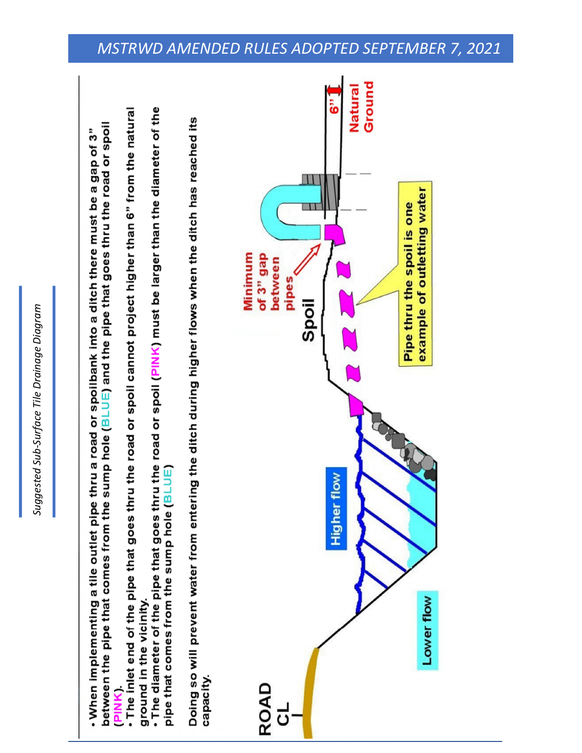between the pipe that comes from the sump hole (BLUE) and the pipe that goes thru the road or spoil . When implementing a tile outlet pipe thru a road or spoilbank into a ditch there must be a gap of 3" PINK)

j.

. The inlet end of the pipe that goes thru the road or spoil cannot project higher than 6" from the natural ground in the vicinity. . The diameter of the pipe that goes thru the road or spoil (PINK) must be larger than the diameter of the pipe that comes from the sump hole (BLUE)

Doing so will prevent water from entering the ditch during higher flows when the ditch has reached its capacity.

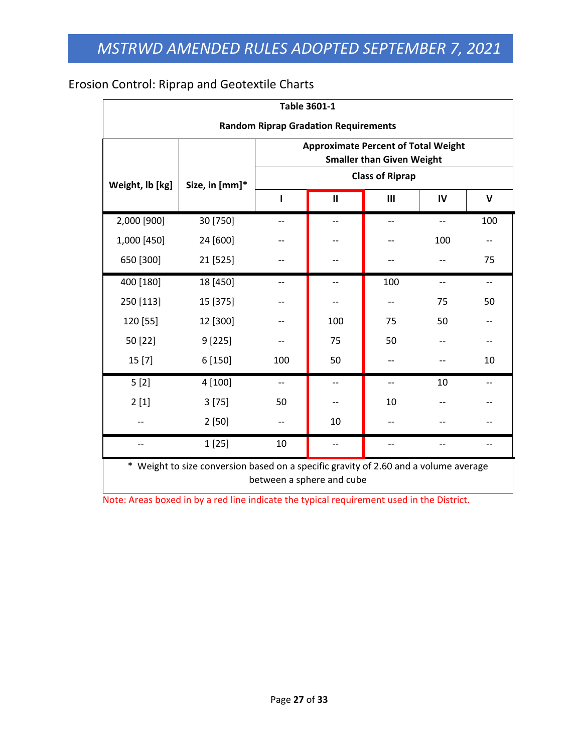### Erosion Control: Riprap and Geotextile Charts

| <b>Table 3601-1</b>                                                            |                                                                                      |     |                           |                        |     |     |  |  |  |  |  |
|--------------------------------------------------------------------------------|--------------------------------------------------------------------------------------|-----|---------------------------|------------------------|-----|-----|--|--|--|--|--|
| <b>Random Riprap Gradation Requirements</b>                                    |                                                                                      |     |                           |                        |     |     |  |  |  |  |  |
| <b>Approximate Percent of Total Weight</b><br><b>Smaller than Given Weight</b> |                                                                                      |     |                           |                        |     |     |  |  |  |  |  |
| Weight, lb [kg]                                                                | Size, in [mm]*                                                                       |     |                           | <b>Class of Riprap</b> |     |     |  |  |  |  |  |
|                                                                                |                                                                                      |     | $\mathbf{I}$              | III                    | IV  | V   |  |  |  |  |  |
| 2,000 [900]                                                                    | 30 [750]                                                                             |     |                           |                        | --  | 100 |  |  |  |  |  |
| 1,000 [450]                                                                    | 24 [600]                                                                             |     |                           |                        | 100 | --  |  |  |  |  |  |
| 650 [300]                                                                      | 21 [525]                                                                             |     |                           |                        |     | 75  |  |  |  |  |  |
| 400 [180]                                                                      | 18 [450]                                                                             | --  | --                        | 100                    | $-$ | $-$ |  |  |  |  |  |
| 250 [113]                                                                      | 15 [375]                                                                             |     |                           |                        | 75  | 50  |  |  |  |  |  |
| 120 [55]                                                                       | 12 [300]                                                                             |     | 100                       | 75                     | 50  | $-$ |  |  |  |  |  |
| 50 [22]                                                                        | 9[225]                                                                               |     | 75                        | 50                     |     | --  |  |  |  |  |  |
| 15[7]                                                                          | 6 [150]                                                                              | 100 | 50                        |                        |     | 10  |  |  |  |  |  |
| 5[2]                                                                           | 4 [100]                                                                              |     |                           |                        | 10  |     |  |  |  |  |  |
| 2[1]                                                                           | 3[75]                                                                                | 50  |                           | 10                     |     |     |  |  |  |  |  |
|                                                                                | 2[50]                                                                                |     | 10                        |                        |     |     |  |  |  |  |  |
| --                                                                             | 1[25]                                                                                | 10  |                           |                        |     | --  |  |  |  |  |  |
|                                                                                | * Weight to size conversion based on a specific gravity of 2.60 and a volume average |     | between a sphere and cube |                        |     |     |  |  |  |  |  |

Note: Areas boxed in by a red line indicate the typical requirement used in the District.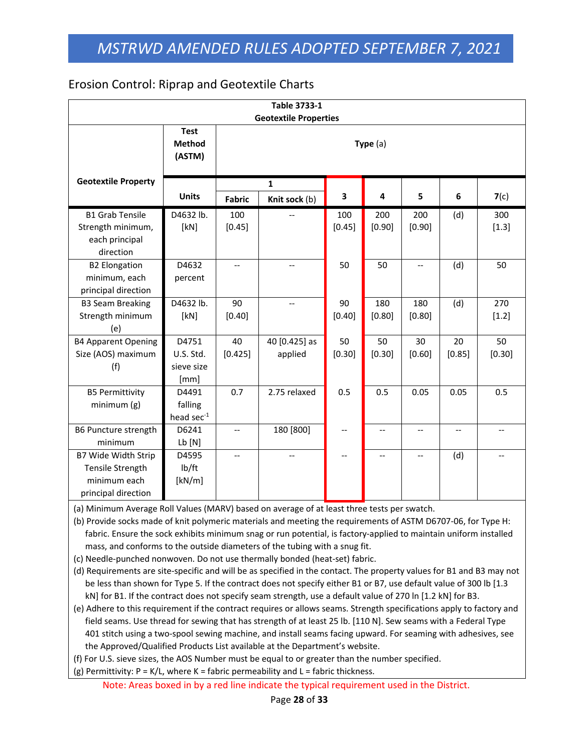#### Erosion Control: Riprap and Geotextile Charts

| <b>Table 3733-1</b><br><b>Geotextile Properties</b>                            |                                          |                          |                          |               |                |               |              |                |  |  |
|--------------------------------------------------------------------------------|------------------------------------------|--------------------------|--------------------------|---------------|----------------|---------------|--------------|----------------|--|--|
|                                                                                | <b>Test</b><br><b>Method</b><br>(ASTM)   | Type $(a)$               |                          |               |                |               |              |                |  |  |
| <b>Geotextile Property</b>                                                     |                                          |                          | $\mathbf{1}$             |               |                |               |              |                |  |  |
|                                                                                | <b>Units</b>                             | <b>Fabric</b>            | Knit sock (b)            | 3             | 4              | 5             | 6            | 7(c)           |  |  |
| <b>B1 Grab Tensile</b><br>Strength minimum,<br>each principal<br>direction     | D4632 lb.<br>[kN]                        | 100<br>[0.45]            |                          | 100<br>[0.45] | 200<br>[0.90]  | 200<br>[0.90] | (d)          | 300<br>$[1.3]$ |  |  |
| <b>B2 Elongation</b><br>minimum, each<br>principal direction                   | D4632<br>percent                         | $\overline{\phantom{a}}$ | $-$                      | 50            | 50             | --            | (d)          | 50             |  |  |
| <b>B3 Seam Breaking</b><br>Strength minimum<br>(e)                             | D4632 lb.<br>[kN]                        | 90<br>[0.40]             | $-$                      | 90<br>[0.40]  | 180<br>[0.80]  | 180<br>[0.80] | (d)          | 270<br>$[1.2]$ |  |  |
| <b>B4 Apparent Opening</b><br>Size (AOS) maximum<br>(f)                        | D4751<br>U.S. Std.<br>sieve size<br>[mm] | 40<br>[0.425]            | 40 [0.425] as<br>applied | 50<br>[0.30]  | 50<br>[0.30]   | 30<br>[0.60]  | 20<br>[0.85] | 50<br>[0.30]   |  |  |
| <b>B5 Permittivity</b><br>minimum (g)                                          | D4491<br>falling<br>head sec-1           | 0.7                      | 2.75 relaxed             | 0.5           | 0.5            | 0.05          | 0.05         | 0.5            |  |  |
| B6 Puncture strength<br>minimum                                                | D6241<br>$Lb$ [N]                        | $-$                      | 180 [800]                | $-$           | $\overline{a}$ | $-$           |              |                |  |  |
| B7 Wide Width Strip<br>Tensile Strength<br>minimum each<br>principal direction | D4595<br>lb/ft<br>[kN/m]                 | $\overline{\phantom{a}}$ | $\overline{a}$           |               | --             | $-$           | (d)          |                |  |  |

(a) Minimum Average Roll Values (MARV) based on average of at least three tests per swatch.

(b) Provide socks made of knit polymeric materials and meeting the requirements of ASTM D6707‐06, for Type H: fabric. Ensure the sock exhibits minimum snag or run potential, is factory-applied to maintain uniform installed mass, and conforms to the outside diameters of the tubing with a snug fit.

(c) Needle‐punched nonwoven. Do not use thermally bonded (heat‐set) fabric.

(d) Requirements are site‐specific and will be as specified in the contact. The property values for B1 and B3 may not be less than shown for Type 5. If the contract does not specify either B1 or B7, use default value of 300 lb [1.3 kN] for B1. If the contract does not specify seam strength, use a default value of 270 ln [1.2 kN] for B3.

(e) Adhere to this requirement if the contract requires or allows seams. Strength specifications apply to factory and field seams. Use thread for sewing that has strength of at least 25 lb. [110 N]. Sew seams with a Federal Type 401 stitch using a two‐spool sewing machine, and install seams facing upward. For seaming with adhesives, see the Approved/Qualified Products List available at the Department's website.

(f) For U.S. sieve sizes, the AOS Number must be equal to or greater than the number specified.

(g) Permittivity:  $P = K/L$ , where  $K =$  fabric permeability and  $L =$  fabric thickness.

Note: Areas boxed in by a red line indicate the typical requirement used in the District.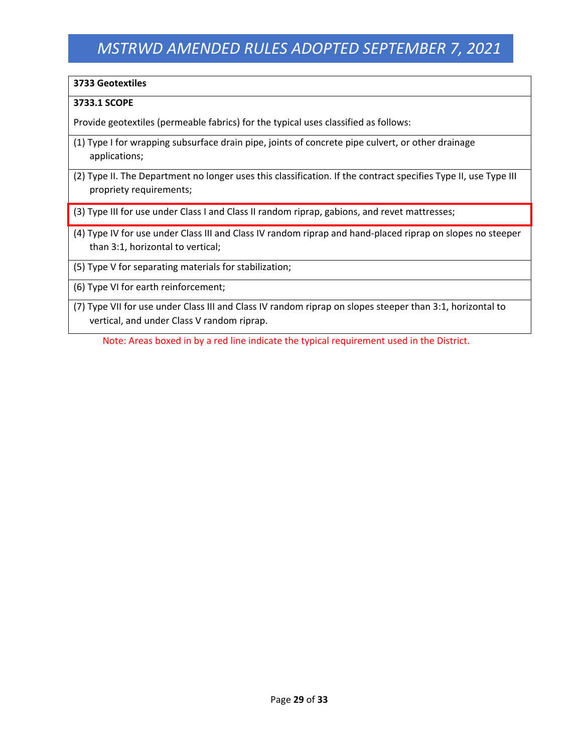### **3733 Geotextiles 3733.1 SCOPE** Provide geotextiles (permeable fabrics) for the typical uses classified as follows: (1) Type I for wrapping subsurface drain pipe, joints of concrete pipe culvert, or other drainage applications; (2) Type II. The Department no longer uses this classification. If the contract specifies Type II, use Type III propriety requirements; (3) Type III for use under Class I and Class II random riprap, gabions, and revet mattresses; (4) Type IV for use under Class III and Class IV random riprap and hand‐placed riprap on slopes no steeper than 3:1, horizontal to vertical; (5) Type V for separating materials for stabilization; (6) Type VI for earth reinforcement; (7) Type VII for use under Class III and Class IV random riprap on slopes steeper than 3:1, horizontal to vertical, and under Class V random riprap.

Note: Areas boxed in by a red line indicate the typical requirement used in the District.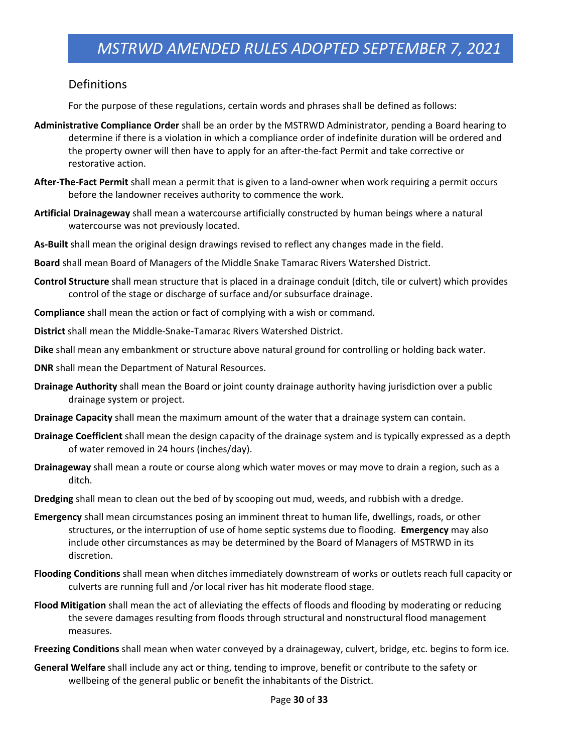#### Definitions

For the purpose of these regulations, certain words and phrases shall be defined as follows:

- **Administrative Compliance Order** shall be an order by the MSTRWD Administrator, pending a Board hearing to determine if there is a violation in which a compliance order of indefinite duration will be ordered and the property owner will then have to apply for an after‐the‐fact Permit and take corrective or restorative action.
- **After‐The‐Fact Permit** shall mean a permit that is given to a land‐owner when work requiring a permit occurs before the landowner receives authority to commence the work.
- **Artificial Drainageway** shall mean a watercourse artificially constructed by human beings where a natural watercourse was not previously located.
- **As‐Built** shall mean the original design drawings revised to reflect any changes made in the field.
- **Board** shall mean Board of Managers of the Middle Snake Tamarac Rivers Watershed District.
- **Control Structure** shall mean structure that is placed in a drainage conduit (ditch, tile or culvert) which provides control of the stage or discharge of surface and/or subsurface drainage.
- **Compliance** shall mean the action or fact of complying with a wish or command.
- **District** shall mean the Middle‐Snake‐Tamarac Rivers Watershed District.
- **Dike** shall mean any embankment or structure above natural ground for controlling or holding back water.
- **DNR** shall mean the Department of Natural Resources.
- **Drainage Authority** shall mean the Board or joint county drainage authority having jurisdiction over a public drainage system or project.
- **Drainage Capacity** shall mean the maximum amount of the water that a drainage system can contain.
- **Drainage Coefficient** shall mean the design capacity of the drainage system and is typically expressed as a depth of water removed in 24 hours (inches/day).
- **Drainageway** shall mean a route or course along which water moves or may move to drain a region, such as a ditch.
- **Dredging** shall mean to clean out the bed of by scooping out mud, weeds, and rubbish with a dredge.
- **Emergency** shall mean circumstances posing an imminent threat to human life, dwellings, roads, or other structures, or the interruption of use of home septic systems due to flooding. **Emergency** may also include other circumstances as may be determined by the Board of Managers of MSTRWD in its discretion.
- **Flooding Conditions** shall mean when ditches immediately downstream of works or outlets reach full capacity or culverts are running full and /or local river has hit moderate flood stage.
- **Flood Mitigation** shall mean the act of alleviating the effects of floods and flooding by moderating or reducing the severe damages resulting from floods through structural and nonstructural flood management measures.
- **Freezing Conditions** shall mean when water conveyed by a drainageway, culvert, bridge, etc. begins to form ice.
- **General Welfare** shall include any act or thing, tending to improve, benefit or contribute to the safety or wellbeing of the general public or benefit the inhabitants of the District.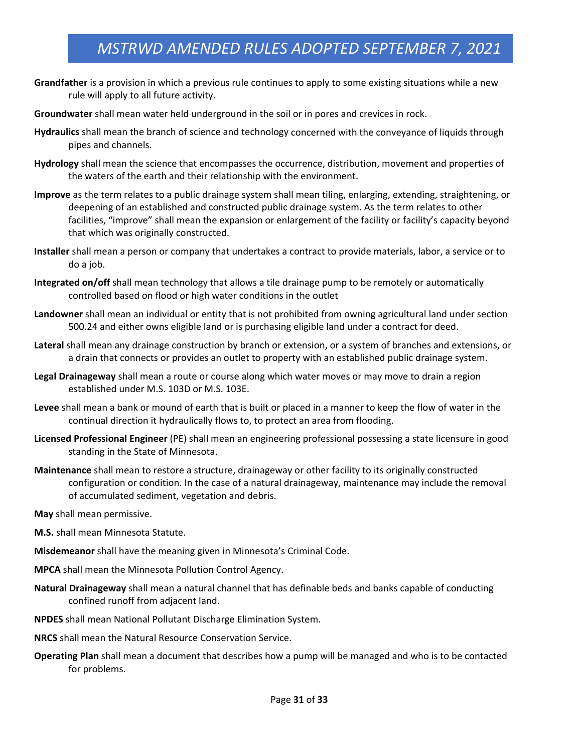- **Grandfather** is a provision in which a previous rule continues to apply to some existing situations while a new rule will apply to all future activity.
- **Groundwater** shall mean water held underground in the soil or in pores and crevices in rock.
- **Hydraulics** shall mean the branch of science and technology concerned with the conveyance of liquids through pipes and channels.
- **Hydrology** shall mean the science that encompasses the occurrence, distribution, movement and properties of the waters of the earth and their relationship with the environment.
- **Improve** as the term relates to a public drainage system shall mean tiling, enlarging, extending, straightening, or deepening of an established and constructed public drainage system. As the term relates to other facilities, "improve" shall mean the expansion or enlargement of the facility or facility's capacity beyond that which was originally constructed.
- **Installer** shall mean a person or company that undertakes a contract to provide materials, labor, a service or to do a job.
- **Integrated on/off** shall mean technology that allows a tile drainage pump to be remotely or automatically controlled based on flood or high water conditions in the outlet
- **Landowner** shall mean an individual or entity that is not prohibited from owning agricultural land under section 500.24 and either owns eligible land or is purchasing eligible land under a contract for deed.
- **Lateral** shall mean any drainage construction by branch or extension, or a system of branches and extensions, or a drain that connects or provides an outlet to property with an established public drainage system.
- **Legal Drainageway** shall mean a route or course along which water moves or may move to drain a region established under M.S. 103D or M.S. 103E.
- **Levee** shall mean a bank or mound of earth that is built or placed in a manner to keep the flow of water in the continual direction it hydraulically flows to, to protect an area from flooding.
- **Licensed Professional Engineer** (PE) shall mean an engineering professional possessing a state licensure in good standing in the State of Minnesota.
- **Maintenance** shall mean to restore a structure, drainageway or other facility to its originally constructed configuration or condition. In the case of a natural drainageway, maintenance may include the removal of accumulated sediment, vegetation and debris.
- **May** shall mean permissive.
- **M.S.** shall mean Minnesota Statute.
- **Misdemeanor** shall have the meaning given in Minnesota's Criminal Code.
- **MPCA** shall mean the Minnesota Pollution Control Agency.
- **Natural Drainageway** shall mean a natural channel that has definable beds and banks capable of conducting confined runoff from adjacent land.
- **NPDES** shall mean National Pollutant Discharge Elimination System.
- **NRCS** shall mean the Natural Resource Conservation Service.
- **Operating Plan** shall mean a document that describes how a pump will be managed and who is to be contacted for problems.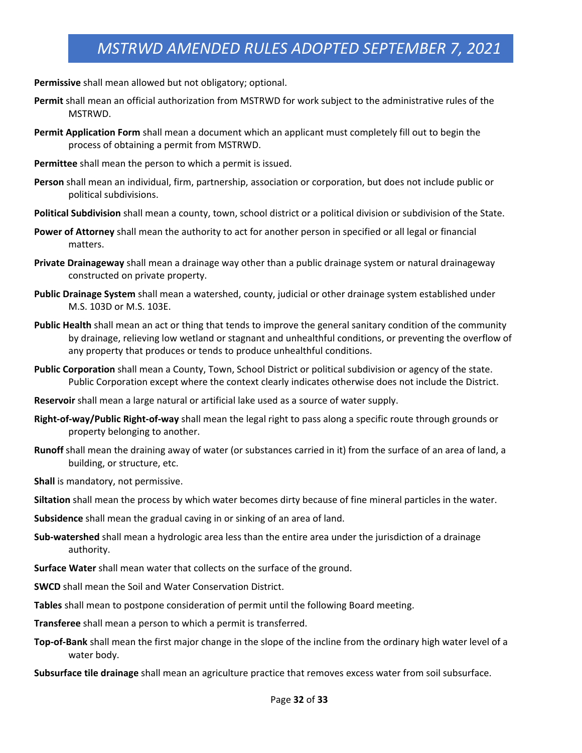**Permissive** shall mean allowed but not obligatory; optional.

- **Permit** shall mean an official authorization from MSTRWD for work subject to the administrative rules of the MSTRWD.
- **Permit Application Form** shall mean a document which an applicant must completely fill out to begin the process of obtaining a permit from MSTRWD.
- **Permittee** shall mean the person to which a permit is issued.
- **Person** shall mean an individual, firm, partnership, association or corporation, but does not include public or political subdivisions.
- **Political Subdivision** shall mean a county, town, school district or a political division or subdivision of the State.
- **Power of Attorney** shall mean the authority to act for another person in specified or all legal or financial matters.
- **Private Drainageway** shall mean a drainage way other than a public drainage system or natural drainageway constructed on private property.
- **Public Drainage System** shall mean a watershed, county, judicial or other drainage system established under M.S. 103D or M.S. 103E.
- **Public Health** shall mean an act or thing that tends to improve the general sanitary condition of the community by drainage, relieving low wetland or stagnant and unhealthful conditions, or preventing the overflow of any property that produces or tends to produce unhealthful conditions.
- **Public Corporation** shall mean a County, Town, School District or political subdivision or agency of the state. Public Corporation except where the context clearly indicates otherwise does not include the District.
- **Reservoir** shall mean a large natural or artificial lake used as a source of water supply.
- **Right‐of‐way/Public Right‐of‐way** shall mean the legal right to pass along a specific route through grounds or property belonging to another.
- **Runoff** shall mean the draining away of water (or substances carried in it) from the surface of an area of land, a building, or structure, etc.
- **Shall** is mandatory, not permissive.
- **Siltation** shall mean the process by which water becomes dirty because of fine mineral particles in the water.
- **Subsidence** shall mean the gradual caving in or sinking of an area of land.
- **Sub‐watershed** shall mean a hydrologic area less than the entire area under the jurisdiction of a drainage authority.
- **Surface Water** shall mean water that collects on the surface of the ground.
- **SWCD** shall mean the Soil and Water Conservation District.
- **Tables** shall mean to postpone consideration of permit until the following Board meeting.
- **Transferee** shall mean a person to which a permit is transferred.
- **Top‐of‐Bank** shall mean the first major change in the slope of the incline from the ordinary high water level of a water body.
- **Subsurface tile drainage** shall mean an agriculture practice that removes excess water from soil subsurface.